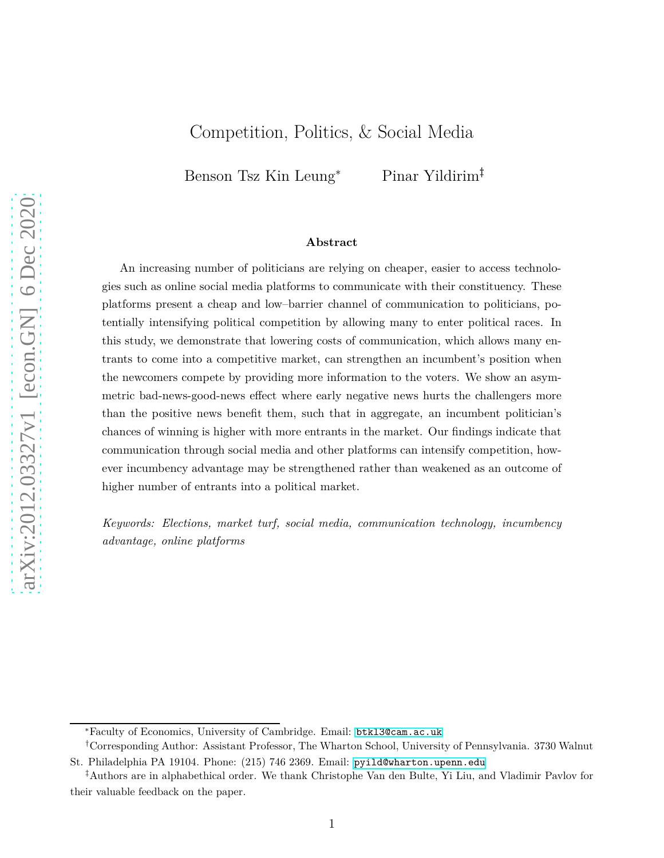## Competition, Politics, & Social Media

Benson Tsz Kin Leung<sup>∗</sup> Pinar Yildirim†‡

#### **Abstract**

An increasing number of politicians are relying on cheaper, easier to access technologies such as online social media platforms to communicate with their constituency. These platforms present a cheap and low–barrier channel of communication to politicians, potentially intensifying political competition by allowing many to enter political races. In this study, we demonstrate that lowering costs of communication, which allows many entrants to come into a competitive market, can strengthen an incumbent's position when the newcomers compete by providing more information to the voters. We show an asymmetric bad-news-good-news effect where early negative news hurts the challengers more than the positive news benefit them, such that in aggregate, an incumbent politician's chances of winning is higher with more entrants in the market. Our findings indicate that communication through social media and other platforms can intensify competition, however incumbency advantage may be strengthened rather than weakened as an outcome of higher number of entrants into a political market.

*Keywords: Elections, market turf, social media, communication technology, incumbency advantage, online platforms*

<sup>∗</sup>Faculty of Economics, University of Cambridge. Email: [btkl3@cam.ac.uk](mailto:btkl3@cam.ac.uk).

<sup>†</sup>Corresponding Author: Assistant Professor, The Wharton School, University of Pennsylvania. 3730 Walnut St. Philadelphia PA 19104. Phone: (215) 746 2369. Email: [pyild@wharton.upenn.edu](mailto:pyild@wharton.upenn.edu)

<sup>‡</sup>Authors are in alphabethical order. We thank Christophe Van den Bulte, Yi Liu, and Vladimir Pavlov for their valuable feedback on the paper.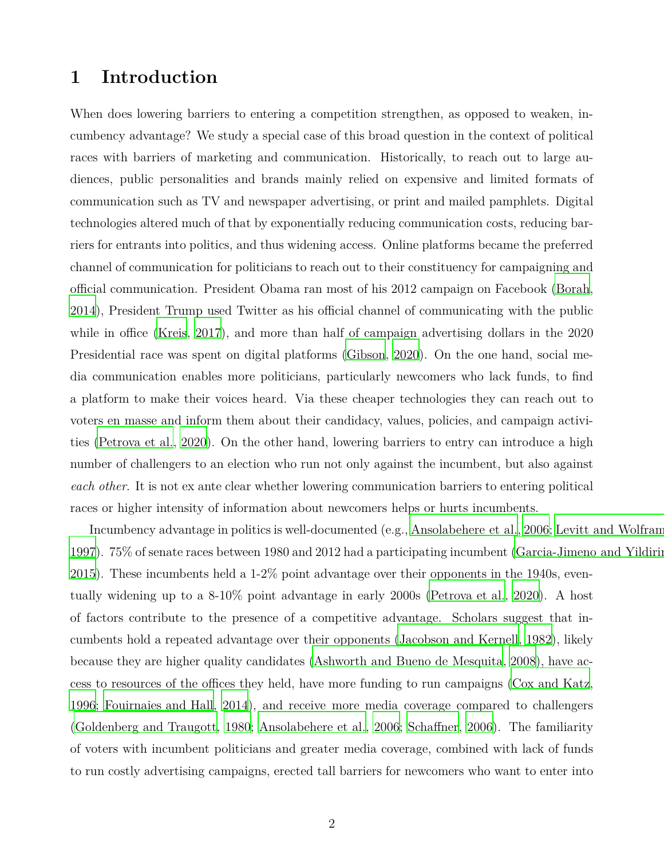# **1 Introduction**

When does lowering barriers to entering a competition strengthen, as opposed to weaken, incumbency advantage? We study a special case of this broad question in the context of political races with barriers of marketing and communication. Historically, to reach out to large audiences, public personalities and brands mainly relied on expensive and limited formats of communication such as TV and newspaper advertising, or print and mailed pamphlets. Digital technologies altered much of that by exponentially reducing communication costs, reducing barriers for entrants into politics, and thus widening access. Online platforms became the preferred channel of communication for politicians to reach out to their constituency for campaigning and official communication. President Obama ran most of his 2012 campaign on Facebook [\(Borah](#page-23-0), [2014](#page-23-0)), President Trump used Twitter as his official channel of communicating with the public while in office [\(Kreis](#page-24-0), [2017\)](#page-24-0), and more than half of campaign advertising dollars in the 2020 Presidential race was spent on digital platforms [\(Gibson, 2020\)](#page-23-1). On the one hand, social media communication enables more politicians, particularly newcomers who lack funds, to find a platform to make their voices heard. Via these cheaper technologies they can reach out to voters en masse and inform them about their candidacy, values, policies, and campaign activities [\(Petrova et al., 2020\)](#page-24-1). On the other hand, lowering barriers to entry can introduce a high number of challengers to an election who run not only against the incumbent, but also against *each other*. It is not ex ante clear whether lowering communication barriers to entering political races or higher intensity of information about newcomers helps or hurts incumbents.

Incumbency advantage in politics is well-documented (e.g., [Ansolabehere et al.](#page-23-2), [2006;](#page-23-2) [Levitt and Wolfram](#page-24-2), [1997](#page-24-2)). 75% of senate races between 1980 and 2012 had a participating incumbent (Garcia-Jimeno and Yildirii [2015](#page-23-3)). These incumbents held a 1-2% point advantage over their opponents in the 1940s, eventually widening up to a 8-10% point advantage in early 2000s [\(Petrova et al., 2020](#page-24-1)). A host of factors contribute to the presence of a competitive advantage. Scholars suggest that incumbents hold a repeated advantage over their opponents [\(Jacobson and Kernell](#page-24-3), [1982\)](#page-24-3), likely because they are higher quality candidates [\(Ashworth and Bueno de Mesquita](#page-23-4), [2008](#page-23-4)), have access to resources of the offices they held, have more funding to run campaigns [\(Cox and Katz,](#page-23-5) [1996](#page-23-5); [Fouirnaies and Hall, 2014\)](#page-23-6), and receive more media coverage compared to challengers [\(Goldenberg and Traugott, 1980](#page-24-4); [Ansolabehere et al.](#page-23-2), [2006;](#page-23-2) [Schaffner](#page-24-5), [2006](#page-24-5)). The familiarity of voters with incumbent politicians and greater media coverage, combined with lack of funds to run costly advertising campaigns, erected tall barriers for newcomers who want to enter into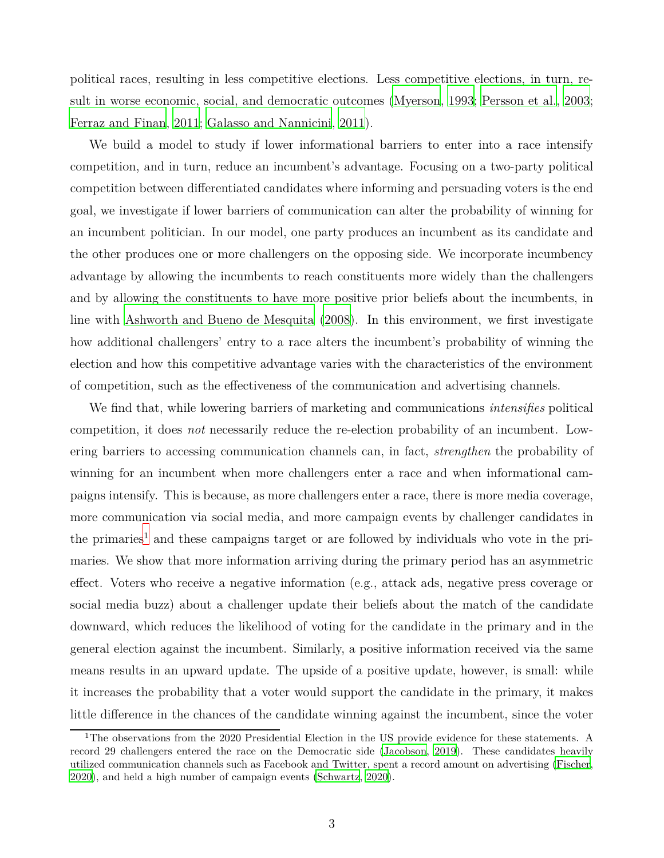political races, resulting in less competitive elections. Less competitive elections, in turn, result in worse economic, social, and democratic outcomes [\(Myerson](#page-24-6), [1993](#page-24-6); [Persson et al.](#page-24-7), [2003](#page-24-7); [Ferraz and Finan](#page-23-7), [2011;](#page-23-7) [Galasso and Nannicini](#page-23-8), [2011\)](#page-23-8).

We build a model to study if lower informational barriers to enter into a race intensify competition, and in turn, reduce an incumbent's advantage. Focusing on a two-party political competition between differentiated candidates where informing and persuading voters is the end goal, we investigate if lower barriers of communication can alter the probability of winning for an incumbent politician. In our model, one party produces an incumbent as its candidate and the other produces one or more challengers on the opposing side. We incorporate incumbency advantage by allowing the incumbents to reach constituents more widely than the challengers and by allowing the constituents to have more positive prior beliefs about the incumbents, in line with [Ashworth and Bueno de Mesquita \(2008\)](#page-23-4). In this environment, we first investigate how additional challengers' entry to a race alters the incumbent's probability of winning the election and how this competitive advantage varies with the characteristics of the environment of competition, such as the effectiveness of the communication and advertising channels.

We find that, while lowering barriers of marketing and communications *intensifies* political competition, it does *not* necessarily reduce the re-election probability of an incumbent. Lowering barriers to accessing communication channels can, in fact, *strengthen* the probability of winning for an incumbent when more challengers enter a race and when informational campaigns intensify. This is because, as more challengers enter a race, there is more media coverage, more communication via social media, and more campaign events by challenger candidates in the primaries<sup>1</sup> and these campaigns target or are followed by individuals who vote in the primaries. We show that more information arriving during the primary period has an asymmetric effect. Voters who receive a negative information (e.g., attack ads, negative press coverage or social media buzz) about a challenger update their beliefs about the match of the candidate downward, which reduces the likelihood of voting for the candidate in the primary and in the general election against the incumbent. Similarly, a positive information received via the same means results in an upward update. The upside of a positive update, however, is small: while it increases the probability that a voter would support the candidate in the primary, it makes little difference in the chances of the candidate winning against the incumbent, since the voter

<sup>&</sup>lt;sup>1</sup>The observations from the 2020 Presidential Election in the US provide evidence for these statements. A record 29 challengers entered the race on the Democratic side [\(Jacobson, 2019\)](#page-24-8). These candidates heavily utilized communication channels such as Facebook and Twitter, spent a record amount on advertising [\(Fischer,](#page-23-9) [2020\)](#page-23-9), and held a high number of campaign events [\(Schwartz, 2020\)](#page-24-9).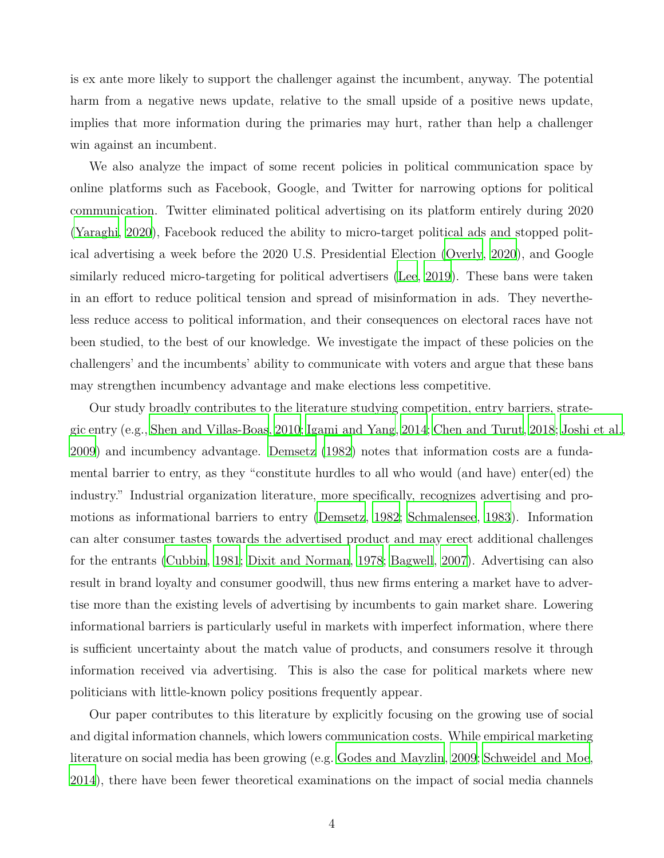is ex ante more likely to support the challenger against the incumbent, anyway. The potential harm from a negative news update, relative to the small upside of a positive news update, implies that more information during the primaries may hurt, rather than help a challenger win against an incumbent.

We also analyze the impact of some recent policies in political communication space by online platforms such as Facebook, Google, and Twitter for narrowing options for political communication. Twitter eliminated political advertising on its platform entirely during 2020 [\(Yaraghi, 2020\)](#page-25-0), Facebook reduced the ability to micro-target political ads and stopped political advertising a week before the 2020 U.S. Presidential Election [\(Overly](#page-24-10), [2020](#page-24-10)), and Google similarly reduced micro-targeting for political advertisers [\(Lee, 2019\)](#page-24-11). These bans were taken in an effort to reduce political tension and spread of misinformation in ads. They nevertheless reduce access to political information, and their consequences on electoral races have not been studied, to the best of our knowledge. We investigate the impact of these policies on the challengers' and the incumbents' ability to communicate with voters and argue that these bans may strengthen incumbency advantage and make elections less competitive.

Our study broadly contributes to the literature studying competition, entry barriers, strategic entry (e.g., [Shen and Villas-Boas, 2010](#page-24-12); [Igami and Yang,](#page-24-13) [2014;](#page-24-13) [Chen and Turut, 2018;](#page-23-10) [Joshi et al.,](#page-24-14) [2009](#page-24-14)) and incumbency advantage. [Demsetz \(1982\)](#page-23-11) notes that information costs are a fundamental barrier to entry, as they "constitute hurdles to all who would (and have) enter(ed) the industry." Industrial organization literature, more specifically, recognizes advertising and promotions as informational barriers to entry [\(Demsetz](#page-23-11), [1982](#page-23-11); [Schmalensee](#page-24-15), [1983](#page-24-15)). Information can alter consumer tastes towards the advertised product and may erect additional challenges for the entrants [\(Cubbin, 1981](#page-23-12); [Dixit and Norman, 1978](#page-23-13); [Bagwell](#page-23-14), [2007\)](#page-23-14). Advertising can also result in brand loyalty and consumer goodwill, thus new firms entering a market have to advertise more than the existing levels of advertising by incumbents to gain market share. Lowering informational barriers is particularly useful in markets with imperfect information, where there is sufficient uncertainty about the match value of products, and consumers resolve it through information received via advertising. This is also the case for political markets where new politicians with little-known policy positions frequently appear.

Our paper contributes to this literature by explicitly focusing on the growing use of social and digital information channels, which lowers communication costs. While empirical marketing literature on social media has been growing (e.g. [Godes and Mayzlin](#page-23-15), [2009;](#page-23-15) [Schweidel and Moe,](#page-24-16) [2014](#page-24-16)), there have been fewer theoretical examinations on the impact of social media channels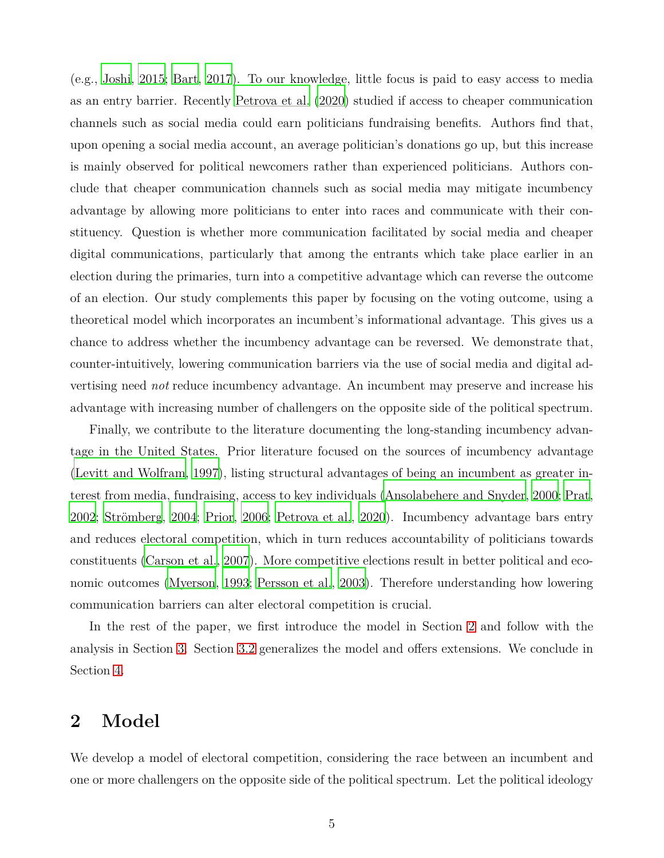(e.g., [Joshi, 2015;](#page-24-17) [Bart, 2017\)](#page-23-16). To our knowledge, little focus is paid to easy access to media as an entry barrier. Recently [Petrova et al. \(2020\)](#page-24-1) studied if access to cheaper communication channels such as social media could earn politicians fundraising benefits. Authors find that, upon opening a social media account, an average politician's donations go up, but this increase is mainly observed for political newcomers rather than experienced politicians. Authors conclude that cheaper communication channels such as social media may mitigate incumbency advantage by allowing more politicians to enter into races and communicate with their constituency. Question is whether more communication facilitated by social media and cheaper digital communications, particularly that among the entrants which take place earlier in an election during the primaries, turn into a competitive advantage which can reverse the outcome of an election. Our study complements this paper by focusing on the voting outcome, using a theoretical model which incorporates an incumbent's informational advantage. This gives us a chance to address whether the incumbency advantage can be reversed. We demonstrate that, counter-intuitively, lowering communication barriers via the use of social media and digital advertising need *not* reduce incumbency advantage. An incumbent may preserve and increase his advantage with increasing number of challengers on the opposite side of the political spectrum.

Finally, we contribute to the literature documenting the long-standing incumbency advantage in the United States. Prior literature focused on the sources of incumbency advantage [\(Levitt and Wolfram](#page-24-2), [1997](#page-24-2)), listing structural advantages of being an incumbent as greater interest from media, fundraising, access to key individuals [\(Ansolabehere and Snyder, 2000;](#page-23-17) [Prat](#page-24-18), [2002](#page-24-18); [Strömberg, 2004](#page-24-19); [Prior](#page-24-20), [2006](#page-24-20); [Petrova et al., 2020\)](#page-24-1). Incumbency advantage bars entry and reduces electoral competition, which in turn reduces accountability of politicians towards constituents [\(Carson et al., 2007\)](#page-23-18). More competitive elections result in better political and economic outcomes [\(Myerson, 1993;](#page-24-6) [Persson et al., 2003\)](#page-24-7). Therefore understanding how lowering communication barriers can alter electoral competition is crucial.

In the rest of the paper, we first introduce the model in Section [2](#page-4-0) and follow with the analysis in Section [3.](#page-10-0) Section [3.2](#page-19-0) generalizes the model and offers extensions. We conclude in Section [4.](#page-21-0)

# <span id="page-4-0"></span>**2 Model**

We develop a model of electoral competition, considering the race between an incumbent and one or more challengers on the opposite side of the political spectrum. Let the political ideology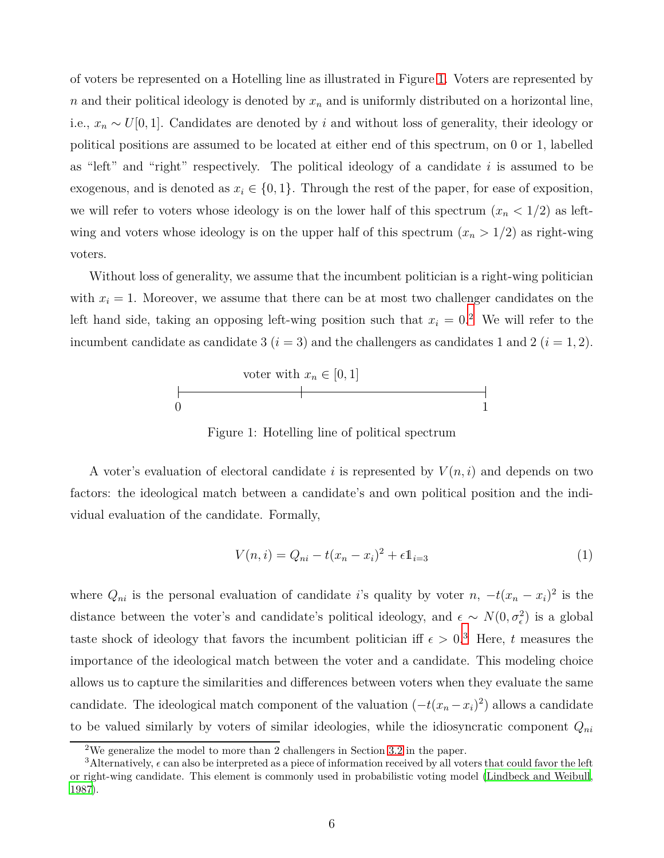of voters be represented on a Hotelling line as illustrated in Figure [1.](#page-5-0) Voters are represented by *n* and their political ideology is denoted by  $x_n$  and is uniformly distributed on a horizontal line, i.e.,  $x_n \sim U[0,1]$ . Candidates are denoted by *i* and without loss of generality, their ideology or political positions are assumed to be located at either end of this spectrum, on 0 or 1, labelled as "left" and "right" respectively. The political ideology of a candidate *i* is assumed to be exogenous, and is denoted as  $x_i \in \{0, 1\}$ . Through the rest of the paper, for ease of exposition, we will refer to voters whose ideology is on the lower half of this spectrum  $(x_n < 1/2)$  as leftwing and voters whose ideology is on the upper half of this spectrum  $(x_n > 1/2)$  as right-wing voters.

<span id="page-5-0"></span>Without loss of generality, we assume that the incumbent politician is a right-wing politician with  $x_i = 1$ . Moreover, we assume that there can be at most two challenger candidates on the left hand side, taking an opposing left-wing position such that  $x_i = 0$ .<sup>2</sup> We will refer to the incumbent candidate as candidate 3  $(i = 3)$  and the challengers as candidates 1 and 2  $(i = 1, 2)$ .



Figure 1: Hotelling line of political spectrum

A voter's evaluation of electoral candidate *i* is represented by  $V(n, i)$  and depends on two factors: the ideological match between a candidate's and own political position and the individual evaluation of the candidate. Formally,

$$
V(n,i) = Q_{ni} - t(x_n - x_i)^2 + \epsilon \mathbb{1}_{i=3}
$$
 (1)

where  $Q_{ni}$  is the personal evaluation of candidate *i*'s quality by voter  $n, -t(x_n - x_i)^2$  is the distance between the voter's and candidate's political ideology, and  $\epsilon \sim N(0, \sigma_{\epsilon}^2)$  is a global taste shock of ideology that favors the incumbent politician iff  $\epsilon > 0.3$  Here, *t* measures the importance of the ideological match between the voter and a candidate. This modeling choice allows us to capture the similarities and differences between voters when they evaluate the same candidate. The ideological match component of the valuation  $(-t(x_n - x_i)^2)$  allows a candidate to be valued similarly by voters of similar ideologies, while the idiosyncratic component *Qni*

<sup>&</sup>lt;sup>2</sup>We generalize the model to more than 2 challengers in Section [3.2](#page-19-0) in the paper.

<sup>&</sup>lt;sup>3</sup>Alternatively,  $\epsilon$  can also be interpreted as a piece of information received by all voters that could favor the left or right-wing candidate. This element is commonly used in probabilistic voting model [\(Lindbeck and Weibull](#page-24-21), [1987\)](#page-24-21).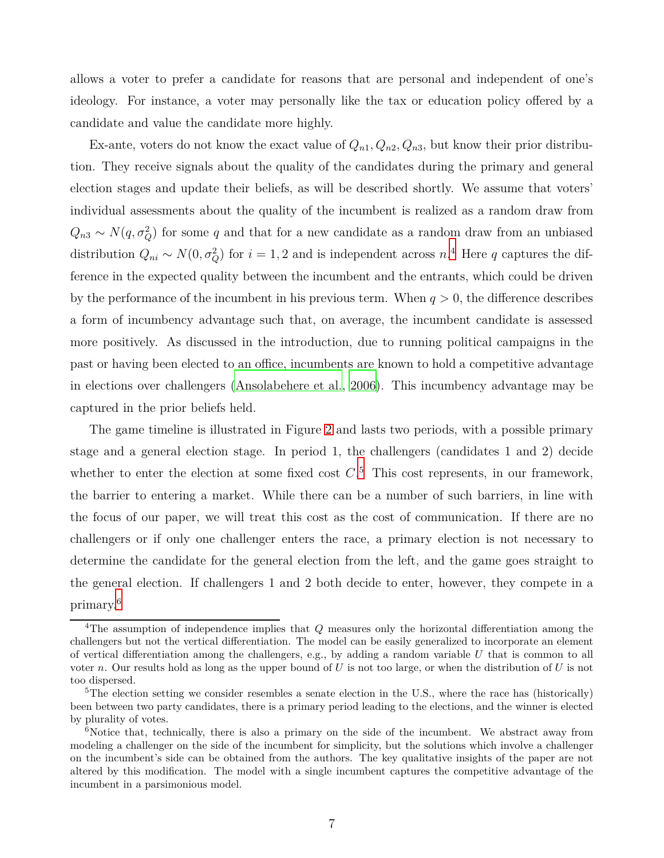allows a voter to prefer a candidate for reasons that are personal and independent of one's ideology. For instance, a voter may personally like the tax or education policy offered by a candidate and value the candidate more highly.

Ex-ante, voters do not know the exact value of  $Q_{n1}, Q_{n2}, Q_{n3}$ , but know their prior distribution. They receive signals about the quality of the candidates during the primary and general election stages and update their beliefs, as will be described shortly. We assume that voters' individual assessments about the quality of the incumbent is realized as a random draw from  $Q_{n3} \sim N(q, \sigma_Q^2)$  for some *q* and that for a new candidate as a random draw from an unbiased distribution  $Q_{ni} \sim N(0, \sigma_Q^2)$  for  $i = 1, 2$  and is independent across  $n^4$ . Here  $q$  captures the difference in the expected quality between the incumbent and the entrants, which could be driven by the performance of the incumbent in his previous term. When  $q > 0$ , the difference describes a form of incumbency advantage such that, on average, the incumbent candidate is assessed more positively. As discussed in the introduction, due to running political campaigns in the past or having been elected to an office, incumbents are known to hold a competitive advantage in elections over challengers [\(Ansolabehere et al.](#page-23-19), [2006\)](#page-23-19). This incumbency advantage may be captured in the prior beliefs held.

The game timeline is illustrated in Figure [2](#page-7-0) and lasts two periods, with a possible primary stage and a general election stage. In period 1, the challengers (candidates 1 and 2) decide whether to enter the election at some fixed cost  $C<sup>5</sup>$ . This cost represents, in our framework, the barrier to entering a market. While there can be a number of such barriers, in line with the focus of our paper, we will treat this cost as the cost of communication. If there are no challengers or if only one challenger enters the race, a primary election is not necessary to determine the candidate for the general election from the left, and the game goes straight to the general election. If challengers 1 and 2 both decide to enter, however, they compete in a primary.<sup>6</sup>

<sup>4</sup>The assumption of independence implies that *Q* measures only the horizontal differentiation among the challengers but not the vertical differentiation. The model can be easily generalized to incorporate an element of vertical differentiation among the challengers, e.g., by adding a random variable *U* that is common to all voter *n*. Our results hold as long as the upper bound of *U* is not too large, or when the distribution of *U* is not too dispersed.

<sup>&</sup>lt;sup>5</sup>The election setting we consider resembles a senate election in the U.S., where the race has (historically) been between two party candidates, there is a primary period leading to the elections, and the winner is elected by plurality of votes.

<sup>&</sup>lt;sup>6</sup>Notice that, technically, there is also a primary on the side of the incumbent. We abstract away from modeling a challenger on the side of the incumbent for simplicity, but the solutions which involve a challenger on the incumbent's side can be obtained from the authors. The key qualitative insights of the paper are not altered by this modification. The model with a single incumbent captures the competitive advantage of the incumbent in a parsimonious model.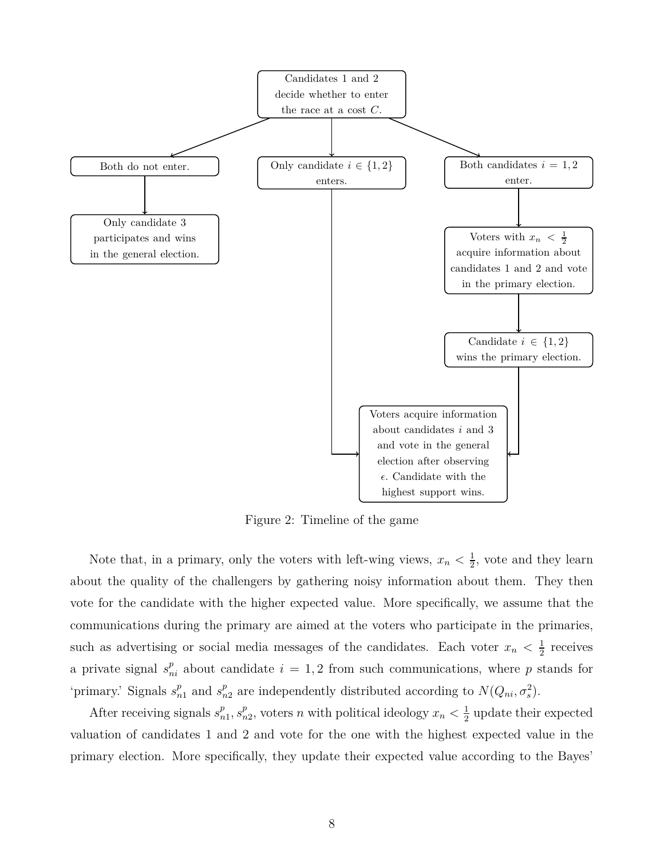<span id="page-7-0"></span>

Figure 2: Timeline of the game

Note that, in a primary, only the voters with left-wing views,  $x_n < \frac{1}{2}$  $\frac{1}{2}$ , vote and they learn about the quality of the challengers by gathering noisy information about them. They then vote for the candidate with the higher expected value. More specifically, we assume that the communications during the primary are aimed at the voters who participate in the primaries, such as advertising or social media messages of the candidates. Each voter  $x_n < \frac{1}{2}$  $\frac{1}{2}$  receives a private signal  $s_{ni}^p$  about candidate  $i = 1, 2$  from such communications, where p stands for 'primary.' Signals  $s_{n1}^p$  and  $s_{n2}^p$  are independently distributed according to  $N(Q_{ni}, \sigma_s^2)$ .

After receiving signals  $s_n^p$  $\frac{p}{n_1}, s_n^p$  $_{n2}^{p}$ , voters *n* with political ideology  $x_n < \frac{1}{2}$  $\frac{1}{2}$  update their expected valuation of candidates 1 and 2 and vote for the one with the highest expected value in the primary election. More specifically, they update their expected value according to the Bayes'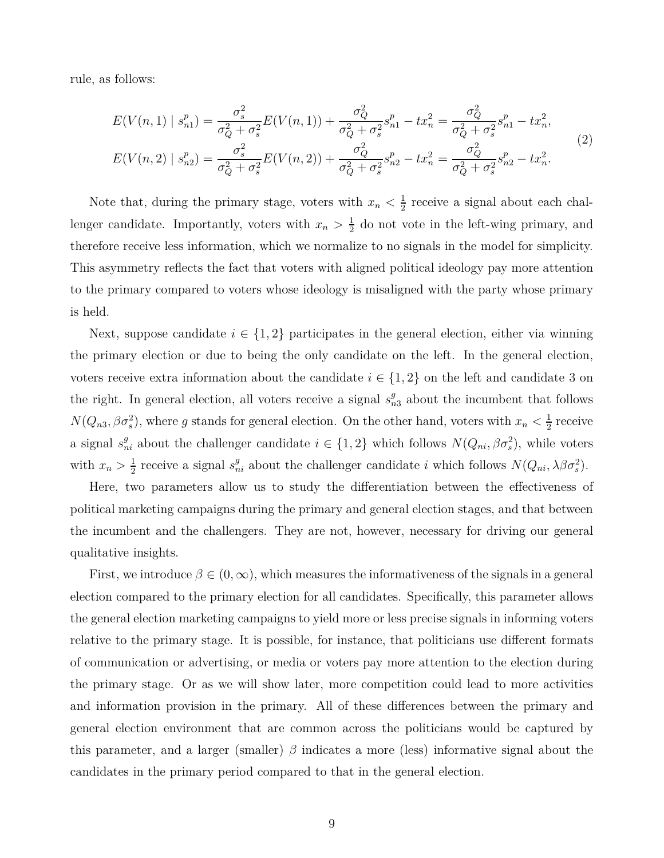rule, as follows:

$$
E(V(n,1) | s_{n1}^p) = \frac{\sigma_s^2}{\sigma_Q^2 + \sigma_s^2} E(V(n,1)) + \frac{\sigma_Q^2}{\sigma_Q^2 + \sigma_s^2} s_{n1}^p - tx_n^2 = \frac{\sigma_Q^2}{\sigma_Q^2 + \sigma_s^2} s_{n1}^p - tx_n^2,
$$
  
\n
$$
E(V(n,2) | s_{n2}^p) = \frac{\sigma_s^2}{\sigma_Q^2 + \sigma_s^2} E(V(n,2)) + \frac{\sigma_Q^2}{\sigma_Q^2 + \sigma_s^2} s_{n2}^p - tx_n^2 = \frac{\sigma_Q^2}{\sigma_Q^2 + \sigma_s^2} s_{n2}^p - tx_n^2.
$$
\n(2)

Note that, during the primary stage, voters with  $x_n < \frac{1}{2}$  $\frac{1}{2}$  receive a signal about each challenger candidate. Importantly, voters with  $x_n > \frac{1}{2}$  $\frac{1}{2}$  do not vote in the left-wing primary, and therefore receive less information, which we normalize to no signals in the model for simplicity. This asymmetry reflects the fact that voters with aligned political ideology pay more attention to the primary compared to voters whose ideology is misaligned with the party whose primary is held.

Next, suppose candidate  $i \in \{1,2\}$  participates in the general election, either via winning the primary election or due to being the only candidate on the left. In the general election, voters receive extra information about the candidate  $i \in \{1,2\}$  on the left and candidate 3 on the right. In general election, all voters receive a signal  $s_{n3}^g$  about the incumbent that follows  $N(Q_{n3}, \beta \sigma_s^2)$ , where *g* stands for general election. On the other hand, voters with  $x_n < \frac{1}{2}$  $\frac{1}{2}$  receive a signal  $s_{ni}^g$  about the challenger candidate  $i \in \{1,2\}$  which follows  $N(Q_{ni}, \beta \sigma_s^2)$ , while voters with  $x_n > \frac{1}{2}$ <sup>1</sup>/<sub>2</sub> receive a signal  $s_{ni}^g$  about the challenger candidate *i* which follows  $N(Q_{ni}, \lambda \beta \sigma_s^2)$ .

Here, two parameters allow us to study the differentiation between the effectiveness of political marketing campaigns during the primary and general election stages, and that between the incumbent and the challengers. They are not, however, necessary for driving our general qualitative insights.

First, we introduce  $\beta \in (0,\infty)$ , which measures the informativeness of the signals in a general election compared to the primary election for all candidates. Specifically, this parameter allows the general election marketing campaigns to yield more or less precise signals in informing voters relative to the primary stage. It is possible, for instance, that politicians use different formats of communication or advertising, or media or voters pay more attention to the election during the primary stage. Or as we will show later, more competition could lead to more activities and information provision in the primary. All of these differences between the primary and general election environment that are common across the politicians would be captured by this parameter, and a larger (smaller) *β* indicates a more (less) informative signal about the candidates in the primary period compared to that in the general election.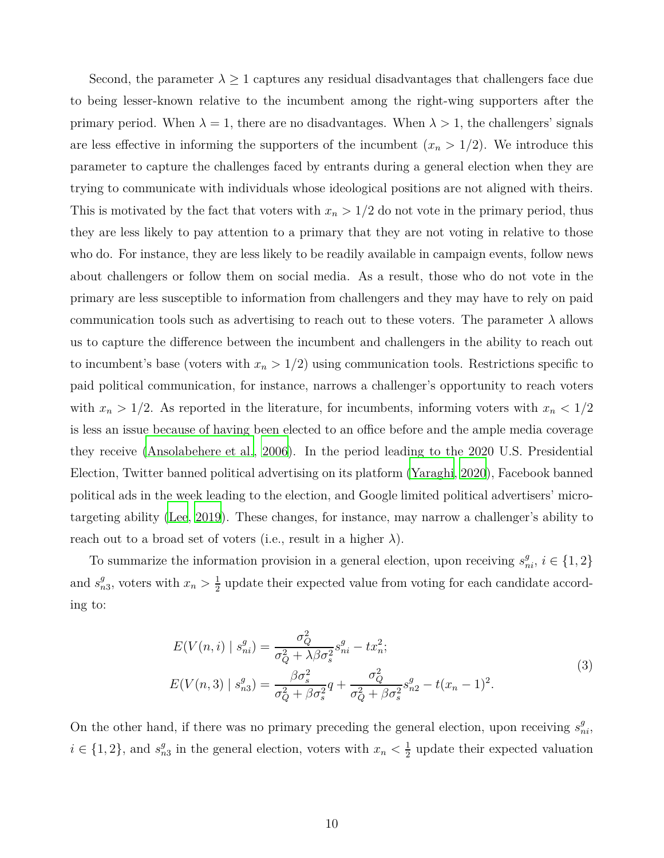Second, the parameter  $\lambda \geq 1$  captures any residual disadvantages that challengers face due to being lesser-known relative to the incumbent among the right-wing supporters after the primary period. When  $\lambda = 1$ , there are no disadvantages. When  $\lambda > 1$ , the challengers' signals are less effective in informing the supporters of the incumbent  $(x_n > 1/2)$ . We introduce this parameter to capture the challenges faced by entrants during a general election when they are trying to communicate with individuals whose ideological positions are not aligned with theirs. This is motivated by the fact that voters with  $x_n > 1/2$  do not vote in the primary period, thus they are less likely to pay attention to a primary that they are not voting in relative to those who do. For instance, they are less likely to be readily available in campaign events, follow news about challengers or follow them on social media. As a result, those who do not vote in the primary are less susceptible to information from challengers and they may have to rely on paid communication tools such as advertising to reach out to these voters. The parameter  $\lambda$  allows us to capture the difference between the incumbent and challengers in the ability to reach out to incumbent's base (voters with  $x_n > 1/2$ ) using communication tools. Restrictions specific to paid political communication, for instance, narrows a challenger's opportunity to reach voters with  $x_n > 1/2$ . As reported in the literature, for incumbents, informing voters with  $x_n < 1/2$ is less an issue because of having been elected to an office before and the ample media coverage they receive [\(Ansolabehere et al.](#page-23-2), [2006\)](#page-23-2). In the period leading to the 2020 U.S. Presidential Election, Twitter banned political advertising on its platform [\(Yaraghi, 2020](#page-25-0)), Facebook banned political ads in the week leading to the election, and Google limited political advertisers' microtargeting ability [\(Lee](#page-24-11), [2019\)](#page-24-11). These changes, for instance, may narrow a challenger's ability to reach out to a broad set of voters (i.e., result in a higher  $\lambda$ ).

To summarize the information provision in a general election, upon receiving  $s_{ni}^g$ ,  $i \in \{1, 2\}$ and  $s_n^g$  $_{n3}^g$ , voters with  $x_n > \frac{1}{2}$  $\frac{1}{2}$  update their expected value from voting for each candidate according to:

$$
E(V(n,i) | s_{ni}^g) = \frac{\sigma_Q^2}{\sigma_Q^2 + \lambda \beta \sigma_s^2} s_{ni}^g - tx_n^2;
$$
  
\n
$$
E(V(n,3) | s_{n3}^g) = \frac{\beta \sigma_s^2}{\sigma_Q^2 + \beta \sigma_s^2} q + \frac{\sigma_Q^2}{\sigma_Q^2 + \beta \sigma_s^2} s_{n2}^g - t(x_n - 1)^2.
$$
\n(3)

On the other hand, if there was no primary preceding the general election, upon receiving  $s_{ni}^g$ ,  $i \in \{1, 2\}$ , and  $s_n^g$  $\frac{g}{n3}$  in the general election, voters with  $x_n < \frac{1}{2}$  $\frac{1}{2}$  update their expected valuation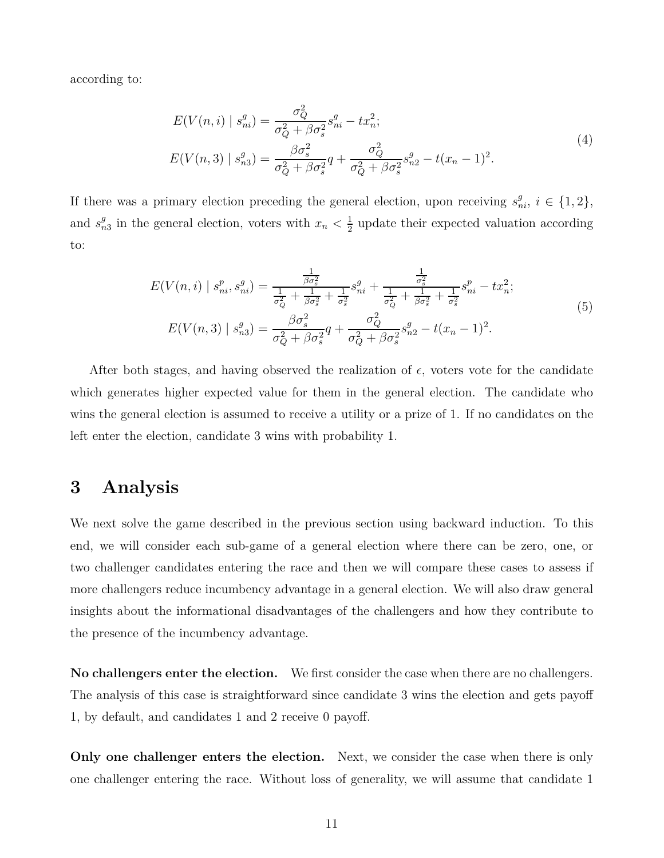according to:

$$
E(V(n,i) | s_{ni}^g) = \frac{\sigma_Q^2}{\sigma_Q^2 + \beta \sigma_s^2} s_{ni}^g - tx_n^2;
$$
  
\n
$$
E(V(n,3) | s_{n3}^g) = \frac{\beta \sigma_s^2}{\sigma_Q^2 + \beta \sigma_s^2} q + \frac{\sigma_Q^2}{\sigma_Q^2 + \beta \sigma_s^2} s_{n2}^g - t(x_n - 1)^2.
$$
\n(4)

If there was a primary election preceding the general election, upon receiving  $s_{ni}^g$ ,  $i \in \{1,2\}$ , and  $s_n^g$  $\frac{g}{n3}$  in the general election, voters with  $x_n < \frac{1}{2}$  $\frac{1}{2}$  update their expected valuation according to:

$$
E(V(n,i) \mid s_{ni}^p, s_{ni}^g) = \frac{\frac{1}{\beta \sigma_s^2}}{\frac{1}{\sigma_Q^2} + \frac{1}{\beta \sigma_s^2} + \frac{1}{\sigma_s^2}} s_{ni}^g + \frac{\frac{1}{\sigma_s^2}}{\frac{1}{\sigma_Q^2} + \frac{1}{\beta \sigma_s^2} + \frac{1}{\sigma_s^2}} s_{ni}^p - tx_n^2;
$$
\n
$$
E(V(n,3) \mid s_{n3}^g) = \frac{\beta \sigma_s^2}{\sigma_Q^2 + \beta \sigma_s^2} q + \frac{\sigma_Q^2}{\sigma_Q^2 + \beta \sigma_s^2} s_{n2}^g - t(x_n - 1)^2.
$$
\n
$$
(5)
$$

After both stages, and having observed the realization of  $\epsilon$ , voters vote for the candidate which generates higher expected value for them in the general election. The candidate who wins the general election is assumed to receive a utility or a prize of 1. If no candidates on the left enter the election, candidate 3 wins with probability 1.

## <span id="page-10-0"></span>**3 Analysis**

We next solve the game described in the previous section using backward induction. To this end, we will consider each sub-game of a general election where there can be zero, one, or two challenger candidates entering the race and then we will compare these cases to assess if more challengers reduce incumbency advantage in a general election. We will also draw general insights about the informational disadvantages of the challengers and how they contribute to the presence of the incumbency advantage.

**No challengers enter the election.** We first consider the case when there are no challengers. The analysis of this case is straightforward since candidate 3 wins the election and gets payoff 1, by default, and candidates 1 and 2 receive 0 payoff.

**Only one challenger enters the election.** Next, we consider the case when there is only one challenger entering the race. Without loss of generality, we will assume that candidate 1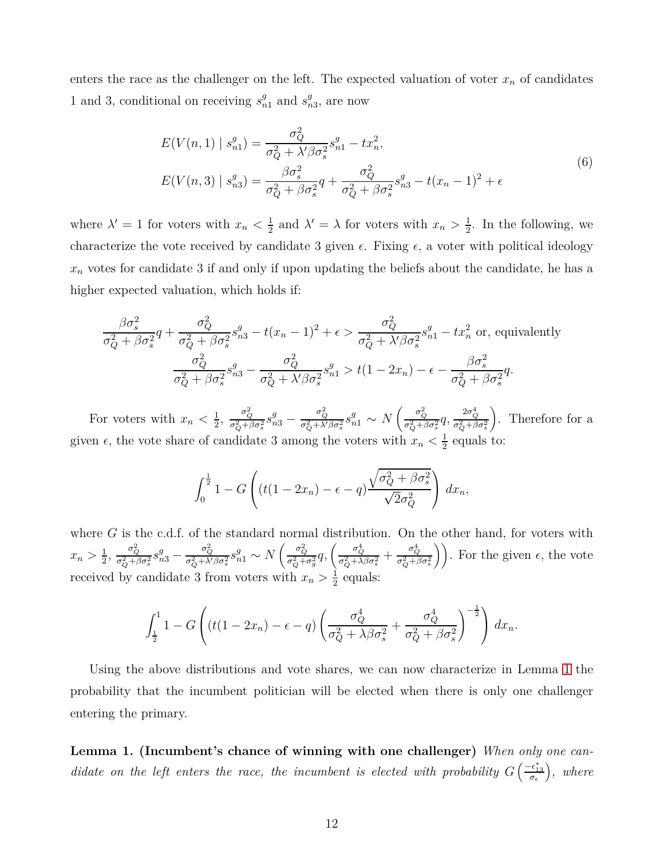enters the race as the challenger on the left. The expected valuation of voter  $x_n$  of candidates 1 and 3, conditional on receiving  $s_{n1}^g$  and  $s_n^g$  $\frac{g}{n3}$ , are now

<span id="page-11-1"></span>
$$
E(V(n,1) | s_{n1}^g) = \frac{\sigma_Q^2}{\sigma_Q^2 + \lambda' \beta \sigma_s^2} s_{n1}^g - tx_n^2,
$$
  
\n
$$
E(V(n,3) | s_{n3}^g) = \frac{\beta \sigma_s^2}{\sigma_Q^2 + \beta \sigma_s^2} q + \frac{\sigma_Q^2}{\sigma_Q^2 + \beta \sigma_s^2} s_{n3}^g - t(x_n - 1)^2 + \epsilon
$$
\n(6)

where  $\lambda' = 1$  for voters with  $x_n < \frac{1}{2}$  $\frac{1}{2}$  and  $\lambda' = \lambda$  for voters with  $x_n > \frac{1}{2}$  $\frac{1}{2}$ . In the following, we characterize the vote received by candidate 3 given  $\epsilon$ . Fixing  $\epsilon$ , a voter with political ideology  $x_n$  votes for candidate 3 if and only if upon updating the beliefs about the candidate, he has a higher expected valuation, which holds if:

$$
\frac{\beta \sigma_s^2}{\sigma_Q^2 + \beta \sigma_s^2} q + \frac{\sigma_Q^2}{\sigma_Q^2 + \beta \sigma_s^2} s_{n3}^g - t(x_n - 1)^2 + \epsilon > \frac{\sigma_Q^2}{\sigma_Q^2 + \lambda' \beta \sigma_s^2} s_{n1}^g - tx_n^2 \text{ or, equivalently}
$$

$$
\frac{\sigma_Q^2}{\sigma_Q^2 + \beta \sigma_s^2} s_{n3}^g - \frac{\sigma_Q^2}{\sigma_Q^2 + \lambda' \beta \sigma_s^2} s_{n1}^g > t(1 - 2x_n) - \epsilon - \frac{\beta \sigma_s^2}{\sigma_Q^2 + \beta \sigma_s^2} q.
$$

For voters with  $x_n < \frac{1}{2}$  $\frac{1}{2}$ ,  $\frac{\sigma_Q^2}{\sigma_Q^2 + \beta \sigma_s^2} s_{n3}^g$  –  $\frac{\sigma_Q^2}{\sigma_Q^2 + \lambda' \beta \sigma_s^2} s_{n1}^g \sim N \left( \frac{\sigma_Q^2}{\sigma_Q^2 + \beta \sigma_s^2} q, \frac{2 \sigma_Q^4}{\sigma_Q^2 + \beta \sigma_s^2} \right)$  . Therefore for a given  $\epsilon$ , the vote share of candidate 3 among the voters with  $x_n < \frac{1}{2}$  $\frac{1}{2}$  equals to:

$$
\int_0^{\frac{1}{2}} 1 - G\left( (t(1 - 2x_n) - \epsilon - q) \frac{\sqrt{\sigma_Q^2 + \beta \sigma_s^2}}{\sqrt{2}\sigma_Q^2} \right) dx_n,
$$

where *G* is the c.d.f. of the standard normal distribution. On the other hand, for voters with  $x_n > \frac{1}{2}$  $\frac{1}{2}$ ,  $\frac{\sigma_Q^2}{\sigma_Q^2 + \beta \sigma_s^2} s_{n3}^g$  –  $\frac{\sigma_Q^2}{\sigma_Q^2 + \lambda' \beta \sigma_s^2} s_{n1}^g \sim N\left(\frac{\sigma_Q^2}{\sigma_Q^2 + \sigma_g^2} q, \left(\frac{\sigma_Q^4}{\sigma_Q^2 + \lambda \beta \sigma_s^2} + \frac{\sigma_Q^4}{\sigma_Q^2 + \beta \sigma_s^2}\right)\right)$ . For the given  $\epsilon$ , the vote received by candidate 3 from voters with  $x_n > \frac{1}{2}$  $\frac{1}{2}$  equals:

$$
\int_{\frac{1}{2}}^1 1 - G\left( (t(1-2x_n) - \epsilon - q) \left( \frac{\sigma_Q^4}{\sigma_Q^2 + \lambda \beta \sigma_s^2} + \frac{\sigma_Q^4}{\sigma_Q^2 + \beta \sigma_s^2} \right)^{-\frac{1}{2}} \right) dx_n.
$$

Using the above distributions and vote shares, we can now characterize in Lemma [1](#page-11-0) the probability that the incumbent politician will be elected when there is only one challenger entering the primary.

<span id="page-11-0"></span>**Lemma 1. (Incumbent's chance of winning with one challenger)** *When only one candidate on the left enters the race, the incumbent is elected with probability*  $G\left(\frac{-\epsilon_{13}^*}{\sigma_{\epsilon}}\right)$ *, where*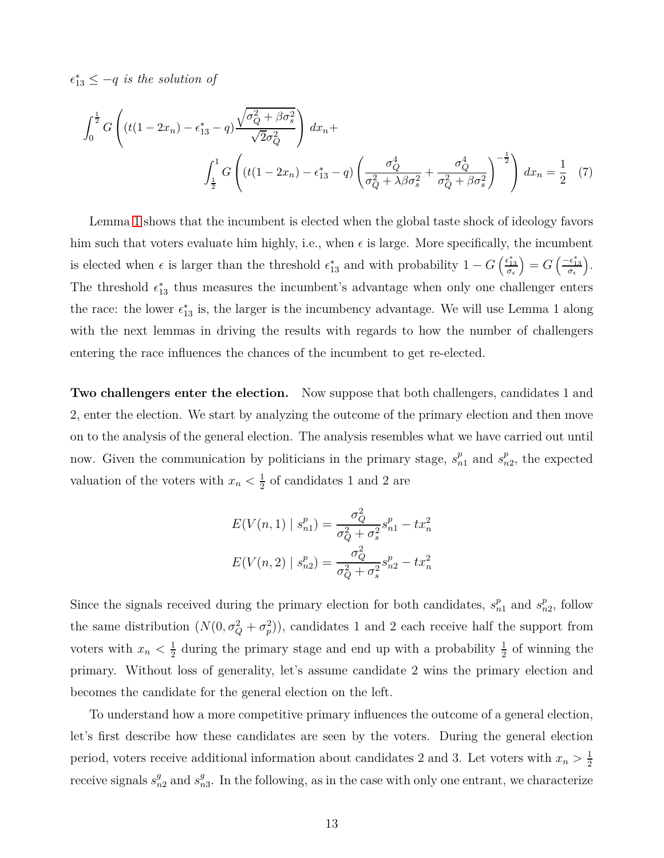$\epsilon_{13}^* \leq -q$  *is the solution of* 

$$
\int_0^{\frac{1}{2}} G\left( (t(1 - 2x_n) - \epsilon_{13}^* - q) \frac{\sqrt{\sigma_Q^2 + \beta \sigma_S^2}}{\sqrt{2\sigma_Q^2}} \right) dx_n + \int_{\frac{1}{2}}^1 G\left( (t(1 - 2x_n) - \epsilon_{13}^* - q) \left( \frac{\sigma_Q^4}{\sigma_Q^2 + \lambda \beta \sigma_S^2} + \frac{\sigma_Q^4}{\sigma_Q^2 + \beta \sigma_S^2} \right)^{-\frac{1}{2}} \right) dx_n = \frac{1}{2} \tag{7}
$$

Lemma [1](#page-11-0) shows that the incumbent is elected when the global taste shock of ideology favors him such that voters evaluate him highly, i.e., when  $\epsilon$  is large. More specifically, the incumbent is elected when  $\epsilon$  is larger than the threshold  $\epsilon_{13}^*$  and with probability  $1 - G \left( \frac{\epsilon_{13}^*}{\sigma_{\epsilon}} \right)$  $= G\left(\frac{-\epsilon_{13}^*}{\sigma_{\epsilon}}\right)$  . The threshold  $\epsilon_{13}^*$  thus measures the incumbent's advantage when only one challenger enters the race: the lower  $\epsilon_{13}^*$  is, the larger is the incumbency advantage. We will use Lemma 1 along with the next lemmas in driving the results with regards to how the number of challengers entering the race influences the chances of the incumbent to get re-elected.

**Two challengers enter the election.** Now suppose that both challengers, candidates 1 and 2, enter the election. We start by analyzing the outcome of the primary election and then move on to the analysis of the general election. The analysis resembles what we have carried out until now. Given the communication by politicians in the primary stage,  $s_{n1}^p$  and  $s_n^p$  $_{n2}^p$ , the expected valuation of the voters with  $x_n < \frac{1}{2}$  $\frac{1}{2}$  of candidates 1 and 2 are

<span id="page-12-0"></span>
$$
E(V(n,1) | s_{n1}^p) = \frac{\sigma_Q^2}{\sigma_Q^2 + \sigma_s^2} s_{n1}^p - tx_n^2
$$

$$
E(V(n,2) | s_{n2}^p) = \frac{\sigma_Q^2}{\sigma_Q^2 + \sigma_s^2} s_{n2}^p - tx_n^2
$$

Since the signals received during the primary election for both candidates,  $s_{n1}^p$  and  $s_n^p$  $_{n2}^p$ , follow the same distribution  $(N(0, \sigma_Q^2 + \sigma_p^2))$ , candidates 1 and 2 each receive half the support from voters with  $x_n < \frac{1}{2}$  $\frac{1}{2}$  during the primary stage and end up with a probability  $\frac{1}{2}$  of winning the primary. Without loss of generality, let's assume candidate 2 wins the primary election and becomes the candidate for the general election on the left.

To understand how a more competitive primary influences the outcome of a general election, let's first describe how these candidates are seen by the voters. During the general election period, voters receive additional information about candidates 2 and 3. Let voters with  $x_n > \frac{1}{2}$ 2 receive signals  $s_{n2}^g$  and  $s_n^g$  $_{n3}^g$ . In the following, as in the case with only one entrant, we characterize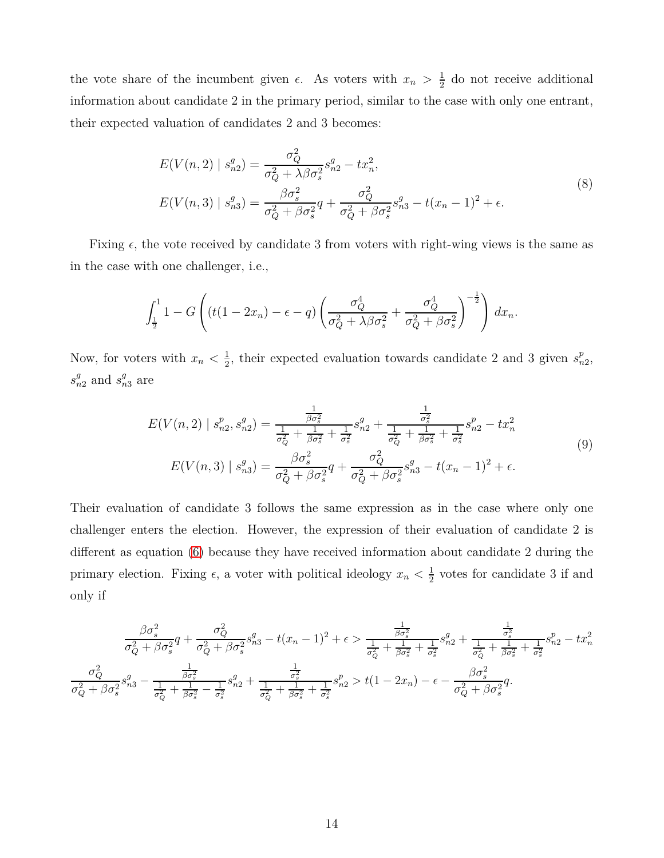the vote share of the incumbent given  $\epsilon$ . As voters with  $x_n > \frac{1}{2}$  $\frac{1}{2}$  do not receive additional information about candidate 2 in the primary period, similar to the case with only one entrant, their expected valuation of candidates 2 and 3 becomes:

$$
E(V(n,2) | s_{n2}^g) = \frac{\sigma_Q^2}{\sigma_Q^2 + \lambda \beta \sigma_s^2} s_{n2}^g - tx_n^2,
$$
  
\n
$$
E(V(n,3) | s_{n3}^g) = \frac{\beta \sigma_s^2}{\sigma_Q^2 + \beta \sigma_s^2} q + \frac{\sigma_Q^2}{\sigma_Q^2 + \beta \sigma_s^2} s_{n3}^g - t(x_n - 1)^2 + \epsilon.
$$
\n(8)

Fixing  $\epsilon$ , the vote received by candidate 3 from voters with right-wing views is the same as in the case with one challenger, i.e.,

$$
\int_{\frac{1}{2}}^1 1 - G\left( (t(1-2x_n) - \epsilon - q) \left( \frac{\sigma_Q^4}{\sigma_Q^2 + \lambda \beta \sigma_s^2} + \frac{\sigma_Q^4}{\sigma_Q^2 + \beta \sigma_s^2} \right)^{-\frac{1}{2}} \right) dx_n.
$$

Now, for voters with  $x_n < \frac{1}{2}$  $\frac{1}{2}$ , their expected evaluation towards candidate 2 and 3 given  $s_n^p$ *n*2 ,  $s_{n2}^g$  and  $s_{n3}^g$  are

$$
E(V(n,2) \mid s_{n2}^p, s_{n2}^q) = \frac{\frac{1}{\beta \sigma_s^2}}{\frac{1}{\sigma_Q^2} + \frac{1}{\beta \sigma_s^2} + \frac{1}{\sigma_s^2}} s_{n2}^q + \frac{\frac{1}{\sigma_s^2}}{\frac{1}{\sigma_Q^2} + \frac{1}{\beta \sigma_s^2} + \frac{1}{\sigma_s^2}} s_{n2}^p - tx_n^2
$$
\n
$$
E(V(n,3) \mid s_{n3}^q) = \frac{\beta \sigma_s^2}{\sigma_Q^2 + \beta \sigma_s^2} q + \frac{\sigma_Q^2}{\sigma_Q^2 + \beta \sigma_s^2} s_{n3}^q - t(x_n - 1)^2 + \epsilon.
$$
\n(9)

Their evaluation of candidate 3 follows the same expression as in the case where only one challenger enters the election. However, the expression of their evaluation of candidate 2 is different as equation [\(6\)](#page-11-1) because they have received information about candidate 2 during the primary election. Fixing  $\epsilon$ , a voter with political ideology  $x_n < \frac{1}{2}$  $\frac{1}{2}$  votes for candidate 3 if and only if

$$
\frac{\beta \sigma_s^2}{\sigma_Q^2 + \beta \sigma_s^2} q + \frac{\sigma_Q^2}{\sigma_Q^2 + \beta \sigma_s^2} s_{n3}^g - t(x_n - 1)^2 + \epsilon > \frac{\frac{1}{\beta \sigma_s^2}}{\frac{1}{\sigma_Q^2} + \frac{1}{\beta \sigma_s^2} + \frac{1}{\sigma_s^2}} s_{n2}^g + \frac{\frac{1}{\sigma_s^2}}{\frac{1}{\sigma_Q^2} + \frac{1}{\beta \sigma_s^2} + \frac{1}{\sigma_s^2}} s_{n2}^g - tx_n^2
$$

$$
\frac{\sigma_Q^2}{\sigma_Q^2 + \beta \sigma_s^2} s_{n3}^g - \frac{\frac{1}{\beta \sigma_s^2}}{\frac{1}{\sigma_Q^2} + \frac{1}{\beta \sigma_s^2} + \frac{1}{\sigma_s^2}} s_{n2}^g + \frac{\frac{1}{\sigma_s^2}}{\frac{1}{\sigma_Q^2} + \frac{1}{\beta \sigma_s^2} + \frac{1}{\sigma_s^2}} s_{n2}^g > t(1 - 2x_n) - \epsilon - \frac{\beta \sigma_s^2}{\sigma_Q^2 + \beta \sigma_s^2} q.
$$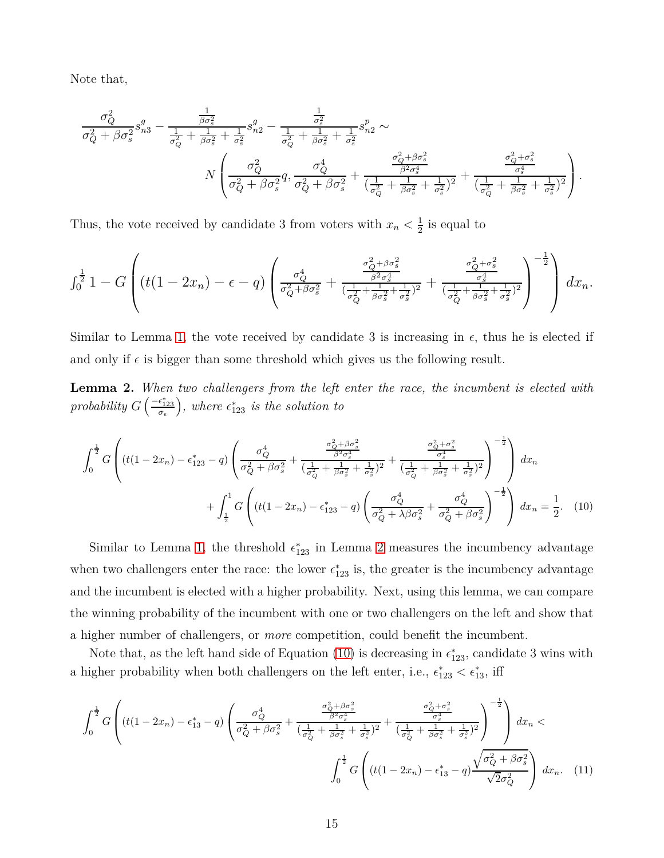Note that,

$$
\frac{\sigma_Q^2}{\sigma_Q^2 + \beta \sigma_s^2} s_{n3}^g - \frac{\frac{1}{\beta \sigma_s^2}}{\frac{1}{\sigma_Q^2} + \frac{1}{\beta \sigma_s^2} + \frac{1}{\sigma_s^2}} s_{n2}^g - \frac{\frac{1}{\sigma_s^2}}{\frac{1}{\sigma_Q^2} + \frac{1}{\beta \sigma_s^2} + \frac{1}{\sigma_s^2}} s_{n2}^p \sim
$$
\n
$$
N \left( \frac{\sigma_Q^2}{\sigma_Q^2 + \beta \sigma_s^2} q, \frac{\sigma_Q^4}{\sigma_Q^2 + \beta \sigma_s^2} + \frac{\frac{\sigma_Q^2 + \beta \sigma_s^2}{\beta^2 \sigma_s^4}}{(\frac{1}{\sigma_Q^2} + \frac{1}{\beta \sigma_s^2} + \frac{1}{\sigma_s^2})^2} + \frac{\frac{\sigma_Q^2 + \sigma_s^2}{\sigma_s^4}}{(\frac{1}{\sigma_Q^2} + \frac{1}{\beta \sigma_s^2} + \frac{1}{\sigma_s^2})^2} \right).
$$

Thus, the vote received by candidate 3 from voters with  $x_n < \frac{1}{2}$  $\frac{1}{2}$  is equal to

$$
\int_0^{\frac{1}{2}} 1 - G \left( (t(1 - 2x_n) - \epsilon - q) \left( \frac{\sigma_Q^4}{\sigma_Q^2 + \beta \sigma_s^2} + \frac{\frac{\sigma_Q^2 + \beta \sigma_s^2}{\beta^2 \sigma_s^4}}{(\frac{1}{\sigma_Q^2} + \frac{1}{\beta \sigma_s^2} + \frac{1}{\sigma_s^2})^2} + \frac{\frac{\sigma_Q^2 + \sigma_s^2}{\sigma_s^4}}{(\frac{1}{\sigma_Q^2} + \frac{1}{\beta \sigma_s^2} + \frac{1}{\sigma_s^2})^2} \right)^{-\frac{1}{2}} \right) dx_n.
$$

<span id="page-14-0"></span>Similar to Lemma [1,](#page-11-0) the vote received by candidate 3 is increasing in  $\epsilon$ , thus he is elected if and only if  $\epsilon$  is bigger than some threshold which gives us the following result.

**Lemma 2.** *When two challengers from the left enter the race, the incumbent is elected with probability*  $G\left(\frac{-\epsilon_{123}^*}{\sigma_{\epsilon}}\right)$  $\big)$ *, where*  $\epsilon_{123}^*$  *is the solution to* 

<span id="page-14-1"></span>
$$
\int_{0}^{\frac{1}{2}} G \left( (t(1 - 2x_{n}) - \epsilon_{123}^{*} - q) \left( \frac{\sigma_{Q}^{4}}{\sigma_{Q}^{2} + \beta \sigma_{s}^{2}} + \frac{\frac{\sigma_{Q}^{2} + \beta \sigma_{s}^{2}}{(\sigma_{Q}^{2} + \beta \sigma_{s}^{2})^{2}} + \frac{\sigma_{Q}^{2} + \sigma_{s}^{2}}{(\sigma_{Q}^{2} + \beta \sigma_{s}^{2} + \sigma_{s}^{2})^{2}}}{(\frac{1}{\sigma_{Q}^{2} + \beta \sigma_{s}^{2} + \sigma_{s}^{2})^{2}} \right)^{-\frac{1}{2}} \right) dx_{n}
$$

$$
+ \int_{\frac{1}{2}}^{1} G \left( (t(1 - 2x_{n}) - \epsilon_{123}^{*} - q) \left( \frac{\sigma_{Q}^{4}}{\sigma_{Q}^{2} + \lambda \beta \sigma_{s}^{2}} + \frac{\sigma_{Q}^{4}}{\sigma_{Q}^{2} + \beta \sigma_{s}^{2}} \right)^{-\frac{1}{2}} \right) dx_{n} = \frac{1}{2}.
$$
 (10)

Similar to Lemma [1,](#page-11-0) the threshold  $\epsilon_{123}^*$  in Lemma [2](#page-14-0) measures the incumbency advantage when two challengers enter the race: the lower  $\epsilon_{123}^*$  is, the greater is the incumbency advantage and the incumbent is elected with a higher probability. Next, using this lemma, we can compare the winning probability of the incumbent with one or two challengers on the left and show that a higher number of challengers, or *more* competition, could benefit the incumbent.

Note that, as the left hand side of Equation  $(10)$  is decreasing in  $\epsilon_{123}^*$ , candidate 3 wins with a higher probability when both challengers on the left enter, i.e.,  $\epsilon_{123}^* < \epsilon_{13}^*$ , iff

<span id="page-14-2"></span>
$$
\int_{0}^{\frac{1}{2}} G \left( (t(1 - 2x_{n}) - \epsilon_{13}^{*} - q) \left( \frac{\sigma_{Q}^{4}}{\sigma_{Q}^{2} + \beta \sigma_{s}^{2}} + \frac{\frac{\sigma_{Q}^{2} + \beta \sigma_{s}^{2}}{\beta^{2} \sigma_{s}^{4}}}{(\frac{1}{\sigma_{Q}^{2}} + \beta \sigma_{s}^{2} + \frac{1}{\beta \sigma_{s}^{2}} + \frac{1}{\sigma_{s}^{2}})^{2}} + \frac{\frac{\sigma_{Q}^{2} + \sigma_{s}^{2}}{\sigma_{s}^{4}}}{(\frac{1}{\sigma_{Q}^{2}} + \beta \sigma_{s}^{2} + \frac{1}{\beta \sigma_{s}^{2}} + \frac{1}{\sigma_{s}^{2}})^{2}} \right)^{-\frac{1}{2}} dx_{n} \n\int_{0}^{\frac{1}{2}} G \left( (t(1 - 2x_{n}) - \epsilon_{13}^{*} - q) \frac{\sqrt{\sigma_{Q}^{2} + \beta \sigma_{s}^{2}}}{\sqrt{2} \sigma_{Q}^{2}} \right) dx_{n}. \quad (11)
$$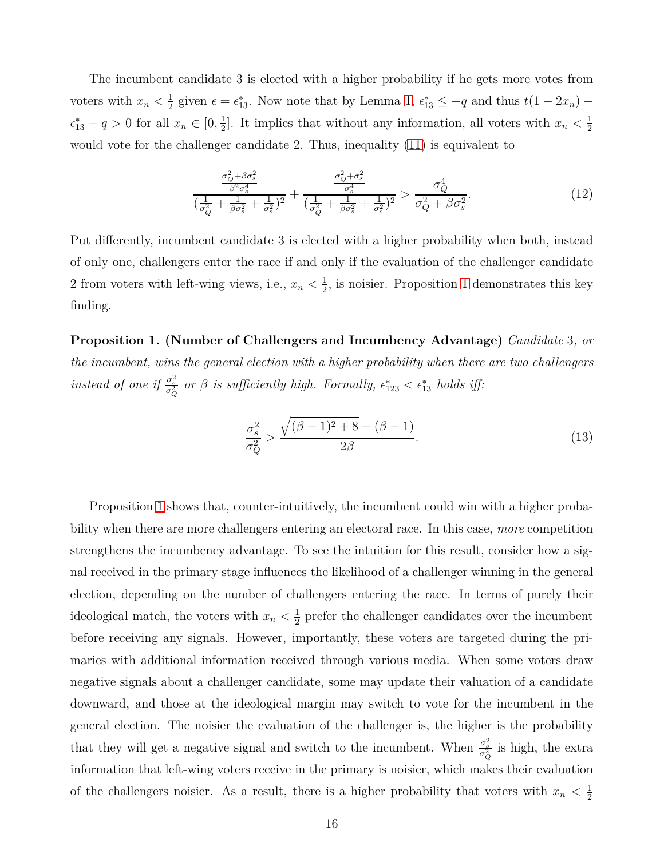The incumbent candidate 3 is elected with a higher probability if he gets more votes from voters with  $x_n < \frac{1}{2}$  $\frac{1}{2}$  given  $\epsilon = \epsilon_{13}^*$ . Now note that by Lemma [1,](#page-11-0)  $\epsilon_{13}^* \le -q$  and thus  $t(1 - 2x_n)$  –  $\epsilon_{13}^* - q > 0$  for all  $x_n \in [0, \frac{1}{2}]$  $\frac{1}{2}$ . It implies that without any information, all voters with  $x_n < \frac{1}{2}$ 2 would vote for the challenger candidate 2. Thus, inequality [\(11\)](#page-14-2) is equivalent to

<span id="page-15-1"></span>
$$
\frac{\frac{\sigma_Q^2 + \beta \sigma_s^2}{\beta^2 \sigma_s^4}}{\left(\frac{1}{\sigma_Q^2} + \frac{1}{\beta \sigma_s^2} + \frac{1}{\sigma_s^2}\right)^2} + \frac{\frac{\sigma_Q^2 + \sigma_s^2}{\sigma_s^4}}{\left(\frac{1}{\sigma_Q^2} + \frac{1}{\beta \sigma_s^2} + \frac{1}{\sigma_s^2}\right)^2} > \frac{\sigma_Q^4}{\sigma_Q^2 + \beta \sigma_s^2}.\tag{12}
$$

Put differently, incumbent candidate 3 is elected with a higher probability when both, instead of only one, challengers enter the race if and only if the evaluation of the challenger candidate 2 from voters with left-wing views, i.e.,  $x_n < \frac{1}{2}$  $\frac{1}{2}$ , is noisier. Proposition [1](#page-15-0) demonstrates this key finding.

**Proposition 1. (Number of Challengers and Incumbency Advantage)** *Candidate* 3*, or the incumbent, wins the general election with a higher probability when there are two challengers instead of one if*  $\frac{\sigma_s^2}{\sigma_Q^2}$  *or*  $\beta$  *is sufficiently high. Formally,*  $\epsilon_{123}^* < \epsilon_{13}^*$  *holds iff:* 

<span id="page-15-0"></span>
$$
\frac{\sigma_s^2}{\sigma_Q^2} > \frac{\sqrt{(\beta - 1)^2 + 8} - (\beta - 1)}{2\beta}.
$$
\n(13)

Proposition [1](#page-15-0) shows that, counter-intuitively, the incumbent could win with a higher probability when there are more challengers entering an electoral race. In this case, *more* competition strengthens the incumbency advantage. To see the intuition for this result, consider how a signal received in the primary stage influences the likelihood of a challenger winning in the general election, depending on the number of challengers entering the race. In terms of purely their ideological match, the voters with  $x_n < \frac{1}{2}$  $\frac{1}{2}$  prefer the challenger candidates over the incumbent before receiving any signals. However, importantly, these voters are targeted during the primaries with additional information received through various media. When some voters draw negative signals about a challenger candidate, some may update their valuation of a candidate downward, and those at the ideological margin may switch to vote for the incumbent in the general election. The noisier the evaluation of the challenger is, the higher is the probability that they will get a negative signal and switch to the incumbent. When  $\frac{\sigma_s^2}{\sigma_Q^2}$  is high, the extra information that left-wing voters receive in the primary is noisier, which makes their evaluation of the challengers noisier. As a result, there is a higher probability that voters with  $x_n < \frac{1}{2}$ 2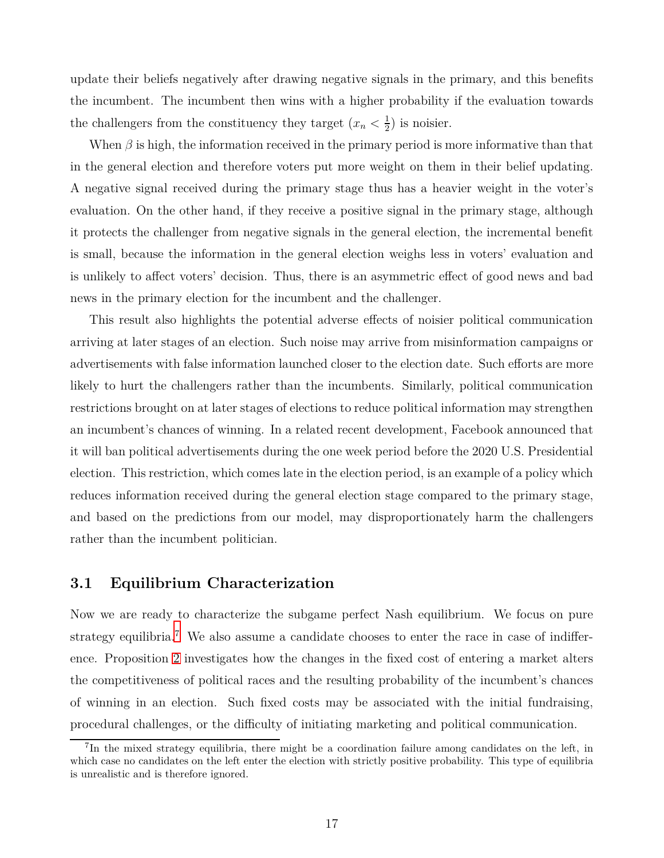update their beliefs negatively after drawing negative signals in the primary, and this benefits the incumbent. The incumbent then wins with a higher probability if the evaluation towards the challengers from the constituency they target  $(x_n < \frac{1}{2})$  $(\frac{1}{2})$  is noisier.

When  $\beta$  is high, the information received in the primary period is more informative than that in the general election and therefore voters put more weight on them in their belief updating. A negative signal received during the primary stage thus has a heavier weight in the voter's evaluation. On the other hand, if they receive a positive signal in the primary stage, although it protects the challenger from negative signals in the general election, the incremental benefit is small, because the information in the general election weighs less in voters' evaluation and is unlikely to affect voters' decision. Thus, there is an asymmetric effect of good news and bad news in the primary election for the incumbent and the challenger.

This result also highlights the potential adverse effects of noisier political communication arriving at later stages of an election. Such noise may arrive from misinformation campaigns or advertisements with false information launched closer to the election date. Such efforts are more likely to hurt the challengers rather than the incumbents. Similarly, political communication restrictions brought on at later stages of elections to reduce political information may strengthen an incumbent's chances of winning. In a related recent development, Facebook announced that it will ban political advertisements during the one week period before the 2020 U.S. Presidential election. This restriction, which comes late in the election period, is an example of a policy which reduces information received during the general election stage compared to the primary stage, and based on the predictions from our model, may disproportionately harm the challengers rather than the incumbent politician.

### **3.1 Equilibrium Characterization**

Now we are ready to characterize the subgame perfect Nash equilibrium. We focus on pure strategy equilibria.<sup>7</sup> We also assume a candidate chooses to enter the race in case of indifference. Proposition [2](#page-17-0) investigates how the changes in the fixed cost of entering a market alters the competitiveness of political races and the resulting probability of the incumbent's chances of winning in an election. Such fixed costs may be associated with the initial fundraising, procedural challenges, or the difficulty of initiating marketing and political communication.

<sup>&</sup>lt;sup>7</sup>In the mixed strategy equilibria, there might be a coordination failure among candidates on the left, in which case no candidates on the left enter the election with strictly positive probability. This type of equilibria is unrealistic and is therefore ignored.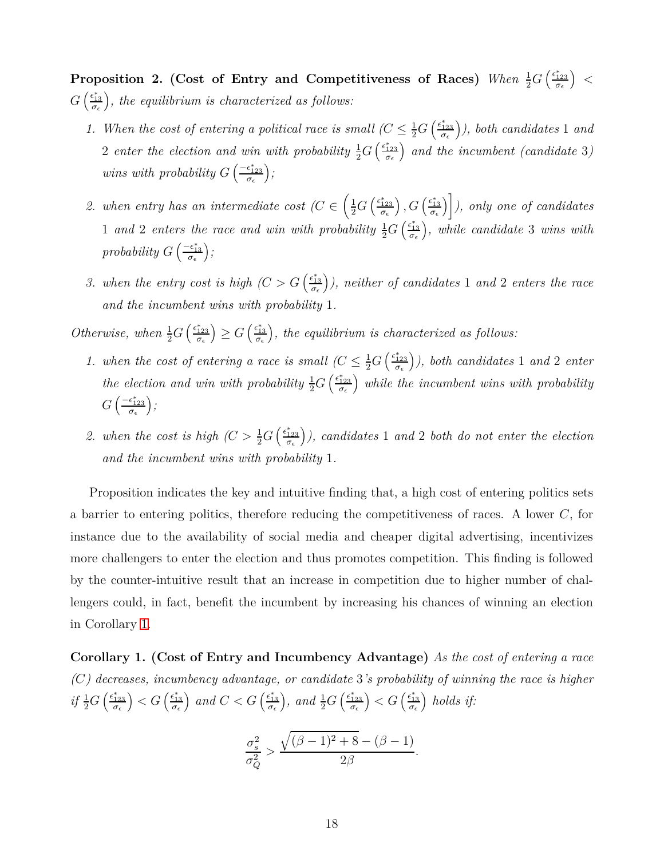**Proposition 2.** (Cost of Entry and Competitiveness of Races) *When*  $\frac{1}{2}G\left(\frac{\epsilon_{123}^*}{\sigma_{\epsilon}}\right)$  *< G* ( $\frac{\epsilon_{13}^*}{\sigma_\epsilon}$ ∗ *, the equilibrium is characterized as follows:*

- *1. When the cost of entering a political race is small*  $(C \leq \frac{1}{2}G) \left( \frac{\epsilon_{123}^*}{\sigma_{\epsilon}} \right)$  *), both candidates* 1 *and* 2 *enter the election and win with probability*  $\frac{1}{2}G\left(\frac{\epsilon_{123}^*}{\sigma_{\epsilon}}\right)$  *and the incumbent (candidate* 3*) wins with probability*  $G\left(\frac{-\epsilon_{123}^*}{\sigma_{\epsilon}}\right)$ ∗ *;*
- 2. when entry has an intermediate cost  $(C \in \left(\frac{1}{2}G\left(\frac{\epsilon_{123}^*}{\sigma_{\epsilon}}\right)\right)$  $\left( \frac{\epsilon_{13}^*}{\sigma_\epsilon} \right)$  *), only one of candidates* 1 and 2 enters the race and win with probability  $\frac{1}{2}G\left(\frac{\epsilon_{13}^*}{\sigma_{\epsilon}}\right)$ ∗ *, while candidate* 3 *wins with probability*  $G\left(\frac{-\epsilon_{13}^*}{\sigma_{\epsilon}}\right)$ *;*
- *3.* when the entry cost is high  $\left(C > G\right) \left(\frac{\epsilon_{13}^*}{\sigma_{\epsilon}}\right)$  *), neither of candidates* 1 *and* 2 *enters the race and the incumbent wins with probability* 1*.*

*Otherwise, when*  $\frac{1}{2}G\left(\frac{\epsilon_{123}^*}{\sigma_{\epsilon}}\right)$  $\left( \frac{\epsilon_{13}^*}{\sigma_{\epsilon}} \right)$ *, the equilibrium is characterized as follows:*

- *1. when the cost of entering a race is small*  $\left(C \leq \frac{1}{2}G\right)\left(\frac{\epsilon_{123}^*}{\sigma_{\epsilon}}\right)$  *), both candidates* 1 *and* 2 *enter the election and win with probability*  $\frac{1}{2}G\left(\frac{\epsilon_{123}^*}{\sigma_{\epsilon}}\right)$  *while the incumbent wins with probability*  $G\left(\frac{-\epsilon_{123}^*}{\sigma_\epsilon}\right)$ ∗ *;*
- <span id="page-17-0"></span>2. when the cost is high  $\left(C > \frac{1}{2}G\right)\left(\frac{\epsilon_{123}^*}{\sigma_{\epsilon}}\right)$  *), candidates* 1 *and* 2 *both do not enter the election and the incumbent wins with probability* 1*.*

Proposition indicates the key and intuitive finding that, a high cost of entering politics sets a barrier to entering politics, therefore reducing the competitiveness of races. A lower *C*, for instance due to the availability of social media and cheaper digital advertising, incentivizes more challengers to enter the election and thus promotes competition. This finding is followed by the counter-intuitive result that an increase in competition due to higher number of challengers could, in fact, benefit the incumbent by increasing his chances of winning an election in Corollary [1.](#page-17-1)

<span id="page-17-1"></span>**Corollary 1. (Cost of Entry and Incumbency Advantage)** *As the cost of entering a race (C) decreases, incumbency advantage, or candidate* 3*'s probability of winning the race is higher*  $if \frac{1}{2}G\left(\frac{\epsilon_{123}^*}{\sigma_{\epsilon}}\right)$  $\left( \frac{\epsilon_{13}^*}{\sigma_{\epsilon}} \right)$ *and*  $C < G \left( \frac{\epsilon_{13}^*}{\sigma_{\epsilon}} \right)$  $\int$ *, and*  $\frac{1}{2}G\left(\frac{\epsilon_{123}^*}{\sigma_{\epsilon}}\right)$  $\left( \frac{\epsilon_{13}^*}{\sigma_{\epsilon}} \right)$ *holds if:*

$$
\frac{\sigma_s^2}{\sigma_Q^2} > \frac{\sqrt{(\beta - 1)^2 + 8} - (\beta - 1)}{2\beta}.
$$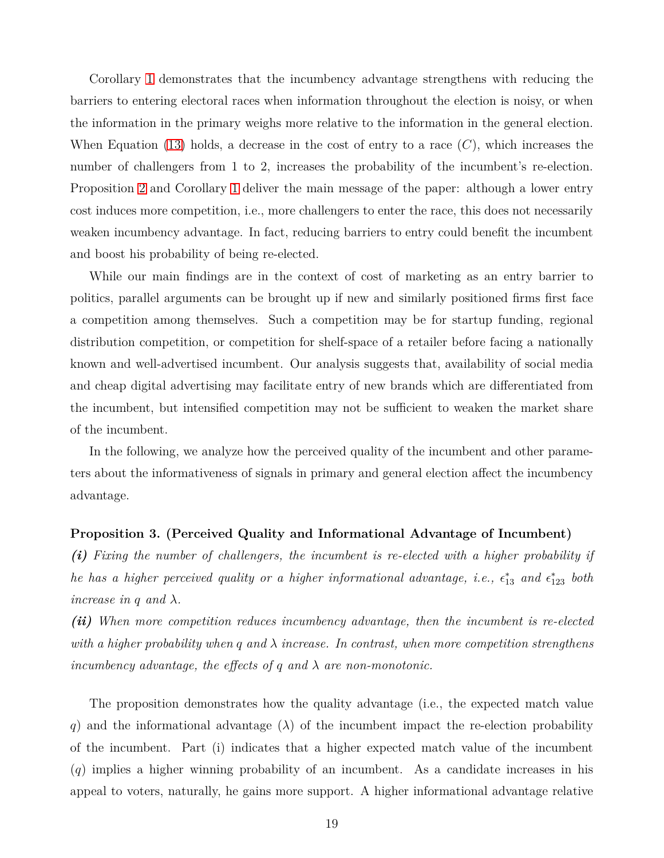Corollary [1](#page-17-1) demonstrates that the incumbency advantage strengthens with reducing the barriers to entering electoral races when information throughout the election is noisy, or when the information in the primary weighs more relative to the information in the general election. When Equation [\(13\)](#page-15-0) holds, a decrease in the cost of entry to a race (*C*), which increases the number of challengers from 1 to 2, increases the probability of the incumbent's re-election. Proposition [2](#page-17-0) and Corollary [1](#page-17-1) deliver the main message of the paper: although a lower entry cost induces more competition, i.e., more challengers to enter the race, this does not necessarily weaken incumbency advantage. In fact, reducing barriers to entry could benefit the incumbent and boost his probability of being re-elected.

While our main findings are in the context of cost of marketing as an entry barrier to politics, parallel arguments can be brought up if new and similarly positioned firms first face a competition among themselves. Such a competition may be for startup funding, regional distribution competition, or competition for shelf-space of a retailer before facing a nationally known and well-advertised incumbent. Our analysis suggests that, availability of social media and cheap digital advertising may facilitate entry of new brands which are differentiated from the incumbent, but intensified competition may not be sufficient to weaken the market share of the incumbent.

In the following, we analyze how the perceived quality of the incumbent and other parameters about the informativeness of signals in primary and general election affect the incumbency advantage.

#### <span id="page-18-0"></span>**Proposition 3. (Perceived Quality and Informational Advantage of Incumbent)**

*(i) Fixing the number of challengers, the incumbent is re-elected with a higher probability if he has a higher perceived quality or a higher informational advantage, i.e.,*  $\epsilon_{13}^*$  *and*  $\epsilon_{123}^*$  *both increase in q and*  $\lambda$ *.* 

*(ii) When more competition reduces incumbency advantage, then the incumbent is re-elected with a higher probability when q and λ increase. In contrast, when more competition strengthens incumbency advantage, the effects of q and λ are non-monotonic.*

The proposition demonstrates how the quality advantage (i.e., the expected match value *q*) and the informational advantage (*λ*) of the incumbent impact the re-election probability of the incumbent. Part (i) indicates that a higher expected match value of the incumbent (*q*) implies a higher winning probability of an incumbent. As a candidate increases in his appeal to voters, naturally, he gains more support. A higher informational advantage relative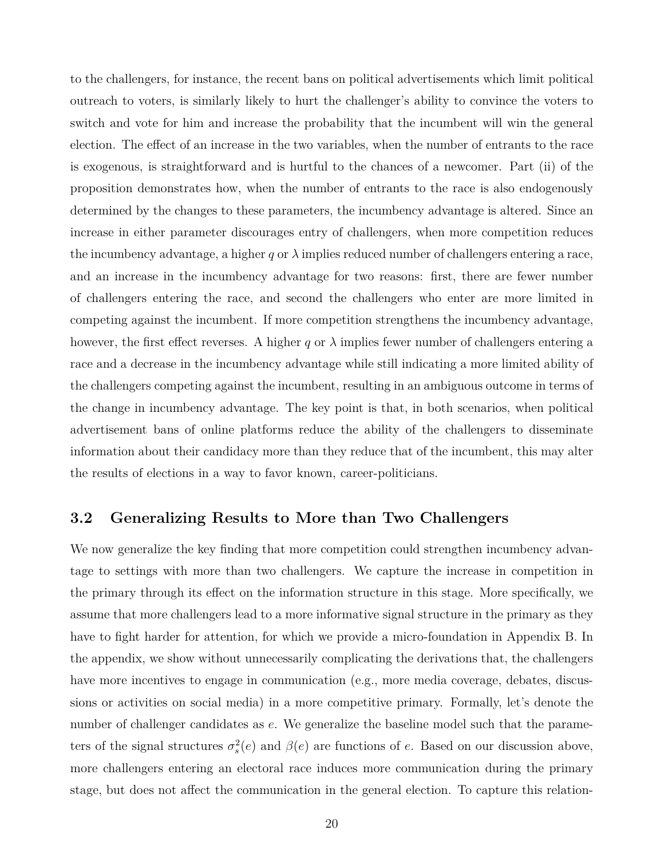to the challengers, for instance, the recent bans on political advertisements which limit political outreach to voters, is similarly likely to hurt the challenger's ability to convince the voters to switch and vote for him and increase the probability that the incumbent will win the general election. The effect of an increase in the two variables, when the number of entrants to the race is exogenous, is straightforward and is hurtful to the chances of a newcomer. Part (ii) of the proposition demonstrates how, when the number of entrants to the race is also endogenously determined by the changes to these parameters, the incumbency advantage is altered. Since an increase in either parameter discourages entry of challengers, when more competition reduces the incumbency advantage, a higher  $q$  or  $\lambda$  implies reduced number of challengers entering a race, and an increase in the incumbency advantage for two reasons: first, there are fewer number of challengers entering the race, and second the challengers who enter are more limited in competing against the incumbent. If more competition strengthens the incumbency advantage, however, the first effect reverses. A higher  $q$  or  $\lambda$  implies fewer number of challengers entering a race and a decrease in the incumbency advantage while still indicating a more limited ability of the challengers competing against the incumbent, resulting in an ambiguous outcome in terms of the change in incumbency advantage. The key point is that, in both scenarios, when political advertisement bans of online platforms reduce the ability of the challengers to disseminate information about their candidacy more than they reduce that of the incumbent, this may alter the results of elections in a way to favor known, career-politicians.

### <span id="page-19-0"></span>**3.2 Generalizing Results to More than Two Challengers**

We now generalize the key finding that more competition could strengthen incumbency advantage to settings with more than two challengers. We capture the increase in competition in the primary through its effect on the information structure in this stage. More specifically, we assume that more challengers lead to a more informative signal structure in the primary as they have to fight harder for attention, for which we provide a micro-foundation in Appendix B. In the appendix, we show without unnecessarily complicating the derivations that, the challengers have more incentives to engage in communication (e.g., more media coverage, debates, discussions or activities on social media) in a more competitive primary. Formally, let's denote the number of challenger candidates as *e*. We generalize the baseline model such that the parameters of the signal structures  $\sigma_s^2(e)$  and  $\beta(e)$  are functions of *e*. Based on our discussion above, more challengers entering an electoral race induces more communication during the primary stage, but does not affect the communication in the general election. To capture this relation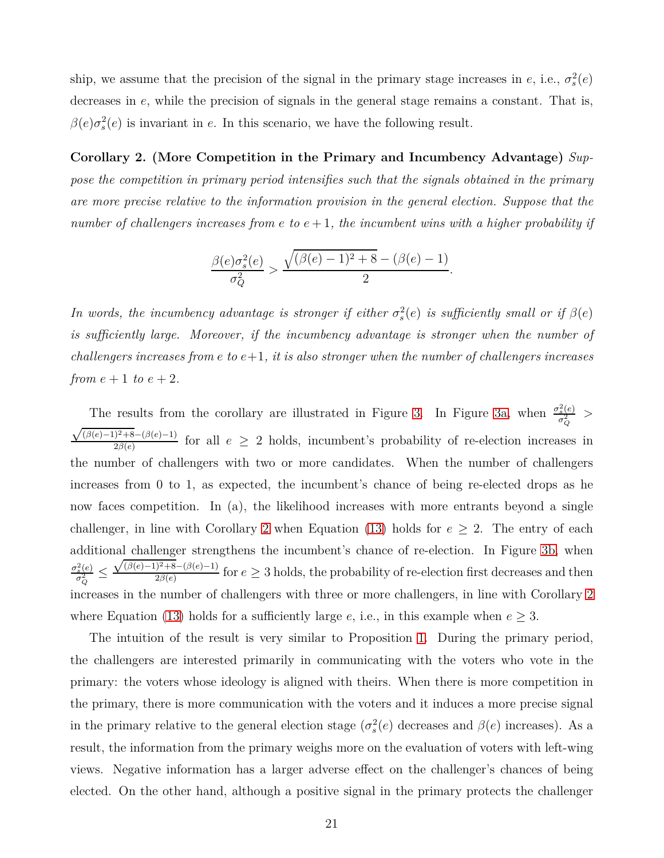ship, we assume that the precision of the signal in the primary stage increases in *e*, i.e.,  $\sigma_s^2(e)$ decreases in *e*, while the precision of signals in the general stage remains a constant. That is,  $\beta(e)\sigma_s^2(e)$  is invariant in *e*. In this scenario, we have the following result.

<span id="page-20-0"></span>**Corollary 2. (More Competition in the Primary and Incumbency Advantage)** *Suppose the competition in primary period intensifies such that the signals obtained in the primary are more precise relative to the information provision in the general election. Suppose that the number of challengers increases from e to*  $e + 1$ *, the incumbent wins with a higher probability if* 

$$
\frac{\beta(e)\sigma_s^2(e)}{\sigma_Q^2} > \frac{\sqrt{(\beta(e)-1)^2 + 8} - (\beta(e)-1)}{2}.
$$

*In words, the incumbency advantage is stronger if either*  $\sigma_s^2(e)$  *is sufficiently small or if*  $\beta(e)$ *is sufficiently large. Moreover, if the incumbency advantage is stronger when the number of challengers increases from e to*  $e+1$ *, it is also stronger when the number of challengers increases from*  $e + 1$  *to*  $e + 2$ *.* 

The results from the corollary are illustrated in Figure [3.](#page-21-1) In Figure [3a,](#page-21-1) when  $\frac{\sigma_s^2(e)}{\sigma_s^2}$  $\frac{\sigma_s^2(e)}{\sigma_Q^2}$  >  $\sqrt{(\beta(e)-1)^2+8}$ −( $\beta(e)-1$ )  $\frac{2\beta(e)}{2\beta(e)}$  for all  $e \geq 2$  holds, incumbent's probability of re-election increases in the number of challengers with two or more candidates. When the number of challengers increases from 0 to 1, as expected, the incumbent's chance of being re-elected drops as he now faces competition. In (a), the likelihood increases with more entrants beyond a single challenger, in line with Corollary [2](#page-20-0) when Equation [\(13\)](#page-15-0) holds for  $e \geq 2$ . The entry of each additional challenger strengthens the incumbent's chance of re-election. In Figure [3b,](#page-21-1) when  $\sigma_s^2(e)$  $\frac{\sigma_Q^2}{\sigma_Q^2} \geq$  $√(β(e)-1)<sup>2</sup>+8-(β(e)-1)$  $\frac{2\beta(e)}{2\beta(e)}$  for  $e \geq 3$  holds, the probability of re-election first decreases and then increases in the number of challengers with three or more challengers, in line with Corollary [2](#page-20-0) where Equation [\(13\)](#page-15-0) holds for a sufficiently large  $e$ , i.e., in this example when  $e \geq 3$ .

The intuition of the result is very similar to Proposition [1.](#page-15-0) During the primary period, the challengers are interested primarily in communicating with the voters who vote in the primary: the voters whose ideology is aligned with theirs. When there is more competition in the primary, there is more communication with the voters and it induces a more precise signal in the primary relative to the general election stage  $(\sigma_s^2(e)$  decreases and  $\beta(e)$  increases). As a result, the information from the primary weighs more on the evaluation of voters with left-wing views. Negative information has a larger adverse effect on the challenger's chances of being elected. On the other hand, although a positive signal in the primary protects the challenger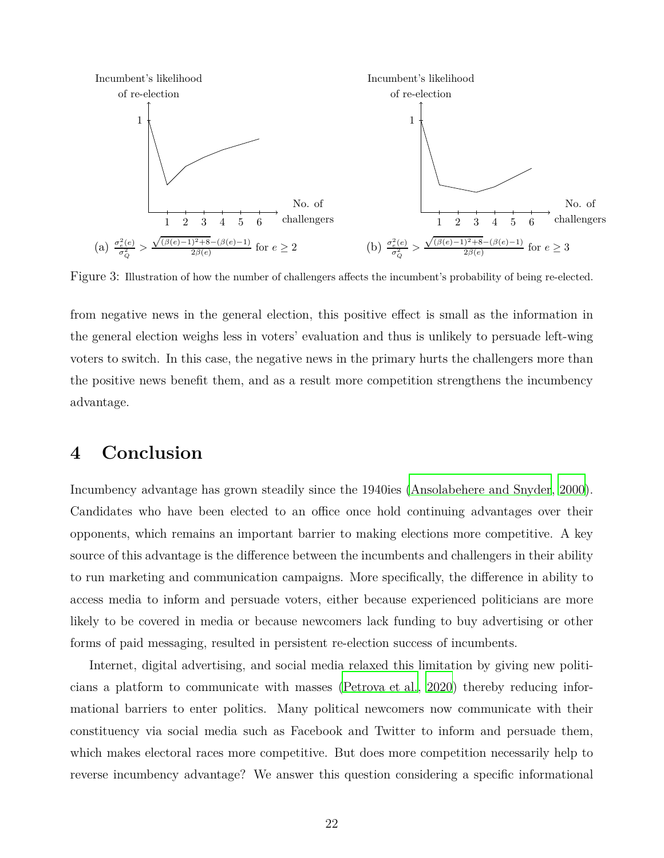<span id="page-21-1"></span>

Figure 3: Illustration of how the number of challengers affects the incumbent's probability of being re-elected.

from negative news in the general election, this positive effect is small as the information in the general election weighs less in voters' evaluation and thus is unlikely to persuade left-wing voters to switch. In this case, the negative news in the primary hurts the challengers more than the positive news benefit them, and as a result more competition strengthens the incumbency advantage.

### <span id="page-21-0"></span>**4 Conclusion**

Incumbency advantage has grown steadily since the 1940ies [\(Ansolabehere and Snyder, 2000\)](#page-23-17). Candidates who have been elected to an office once hold continuing advantages over their opponents, which remains an important barrier to making elections more competitive. A key source of this advantage is the difference between the incumbents and challengers in their ability to run marketing and communication campaigns. More specifically, the difference in ability to access media to inform and persuade voters, either because experienced politicians are more likely to be covered in media or because newcomers lack funding to buy advertising or other forms of paid messaging, resulted in persistent re-election success of incumbents.

Internet, digital advertising, and social media relaxed this limitation by giving new politicians a platform to communicate with masses [\(Petrova et al.](#page-24-1), [2020](#page-24-1)) thereby reducing informational barriers to enter politics. Many political newcomers now communicate with their constituency via social media such as Facebook and Twitter to inform and persuade them, which makes electoral races more competitive. But does more competition necessarily help to reverse incumbency advantage? We answer this question considering a specific informational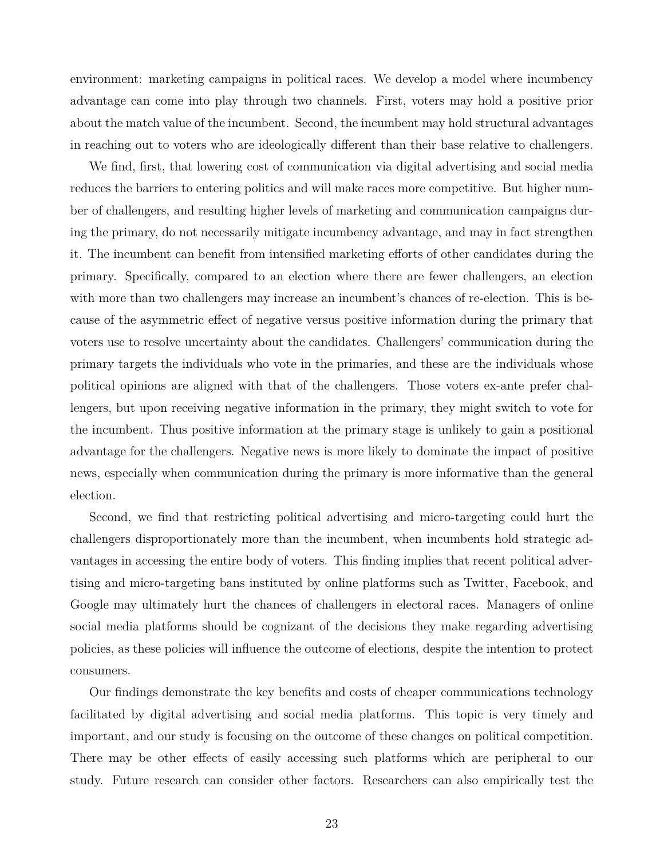environment: marketing campaigns in political races. We develop a model where incumbency advantage can come into play through two channels. First, voters may hold a positive prior about the match value of the incumbent. Second, the incumbent may hold structural advantages in reaching out to voters who are ideologically different than their base relative to challengers.

We find, first, that lowering cost of communication via digital advertising and social media reduces the barriers to entering politics and will make races more competitive. But higher number of challengers, and resulting higher levels of marketing and communication campaigns during the primary, do not necessarily mitigate incumbency advantage, and may in fact strengthen it. The incumbent can benefit from intensified marketing efforts of other candidates during the primary. Specifically, compared to an election where there are fewer challengers, an election with more than two challengers may increase an incumbent's chances of re-election. This is because of the asymmetric effect of negative versus positive information during the primary that voters use to resolve uncertainty about the candidates. Challengers' communication during the primary targets the individuals who vote in the primaries, and these are the individuals whose political opinions are aligned with that of the challengers. Those voters ex-ante prefer challengers, but upon receiving negative information in the primary, they might switch to vote for the incumbent. Thus positive information at the primary stage is unlikely to gain a positional advantage for the challengers. Negative news is more likely to dominate the impact of positive news, especially when communication during the primary is more informative than the general election.

Second, we find that restricting political advertising and micro-targeting could hurt the challengers disproportionately more than the incumbent, when incumbents hold strategic advantages in accessing the entire body of voters. This finding implies that recent political advertising and micro-targeting bans instituted by online platforms such as Twitter, Facebook, and Google may ultimately hurt the chances of challengers in electoral races. Managers of online social media platforms should be cognizant of the decisions they make regarding advertising policies, as these policies will influence the outcome of elections, despite the intention to protect consumers.

Our findings demonstrate the key benefits and costs of cheaper communications technology facilitated by digital advertising and social media platforms. This topic is very timely and important, and our study is focusing on the outcome of these changes on political competition. There may be other effects of easily accessing such platforms which are peripheral to our study. Future research can consider other factors. Researchers can also empirically test the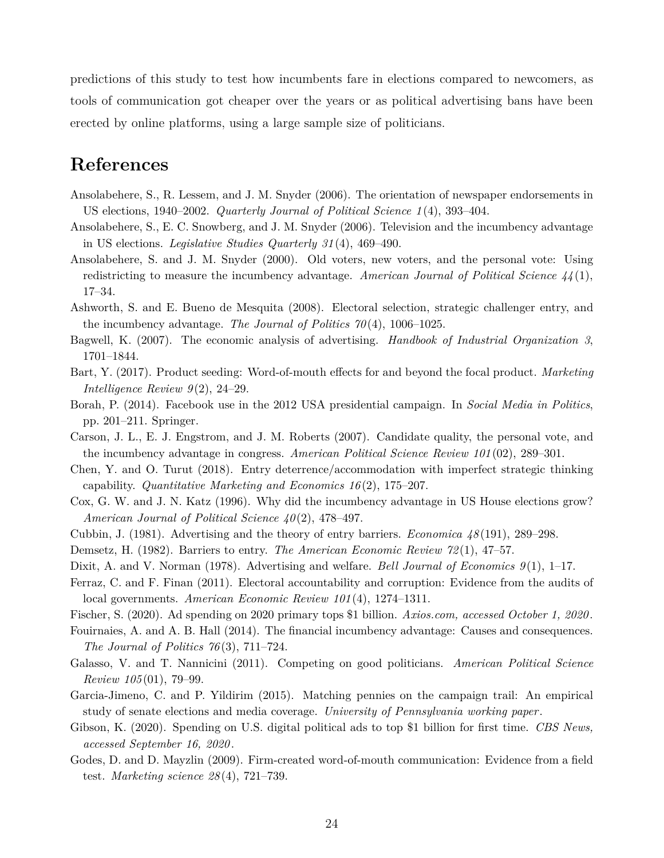predictions of this study to test how incumbents fare in elections compared to newcomers, as tools of communication got cheaper over the years or as political advertising bans have been erected by online platforms, using a large sample size of politicians.

# **References**

- <span id="page-23-2"></span>Ansolabehere, S., R. Lessem, and J. M. Snyder (2006). The orientation of newspaper endorsements in US elections, 1940–2002. *Quarterly Journal of Political Science 1*(4), 393–404.
- <span id="page-23-19"></span>Ansolabehere, S., E. C. Snowberg, and J. M. Snyder (2006). Television and the incumbency advantage in US elections. *Legislative Studies Quarterly 31*(4), 469–490.
- <span id="page-23-17"></span>Ansolabehere, S. and J. M. Snyder (2000). Old voters, new voters, and the personal vote: Using redistricting to measure the incumbency advantage. *American Journal of Political Science 44*(1), 17–34.
- <span id="page-23-4"></span>Ashworth, S. and E. Bueno de Mesquita (2008). Electoral selection, strategic challenger entry, and the incumbency advantage. *The Journal of Politics 70*(4), 1006–1025.
- <span id="page-23-14"></span>Bagwell, K. (2007). The economic analysis of advertising. *Handbook of Industrial Organization 3*, 1701–1844.
- <span id="page-23-16"></span>Bart, Y. (2017). Product seeding: Word-of-mouth effects for and beyond the focal product. *Marketing Intelligence Review 9*(2), 24–29.
- <span id="page-23-0"></span>Borah, P. (2014). Facebook use in the 2012 USA presidential campaign. In *Social Media in Politics*, pp. 201–211. Springer.
- <span id="page-23-18"></span>Carson, J. L., E. J. Engstrom, and J. M. Roberts (2007). Candidate quality, the personal vote, and the incumbency advantage in congress. *American Political Science Review 101*(02), 289–301.
- <span id="page-23-10"></span>Chen, Y. and O. Turut (2018). Entry deterrence/accommodation with imperfect strategic thinking capability. *Quantitative Marketing and Economics 16*(2), 175–207.
- <span id="page-23-5"></span>Cox, G. W. and J. N. Katz (1996). Why did the incumbency advantage in US House elections grow? *American Journal of Political Science 40*(2), 478–497.
- <span id="page-23-12"></span>Cubbin, J. (1981). Advertising and the theory of entry barriers. *Economica 48*(191), 289–298.
- <span id="page-23-11"></span>Demsetz, H. (1982). Barriers to entry. *The American Economic Review 72*(1), 47–57.
- <span id="page-23-13"></span>Dixit, A. and V. Norman (1978). Advertising and welfare. *Bell Journal of Economics 9*(1), 1–17.
- <span id="page-23-7"></span>Ferraz, C. and F. Finan (2011). Electoral accountability and corruption: Evidence from the audits of local governments. *American Economic Review 101*(4), 1274–1311.
- <span id="page-23-9"></span>Fischer, S. (2020). Ad spending on 2020 primary tops \$1 billion. *Axios.com, accessed October 1, 2020*.
- <span id="page-23-6"></span>Fouirnaies, A. and A. B. Hall (2014). The financial incumbency advantage: Causes and consequences. *The Journal of Politics 76*(3), 711–724.
- <span id="page-23-8"></span>Galasso, V. and T. Nannicini (2011). Competing on good politicians. *American Political Science Review 105* (01), 79–99.
- <span id="page-23-3"></span>Garcia-Jimeno, C. and P. Yildirim (2015). Matching pennies on the campaign trail: An empirical study of senate elections and media coverage. *University of Pennsylvania working paper*.
- <span id="page-23-1"></span>Gibson, K. (2020). Spending on U.S. digital political ads to top \$1 billion for first time. *CBS News, accessed September 16, 2020*.
- <span id="page-23-15"></span>Godes, D. and D. Mayzlin (2009). Firm-created word-of-mouth communication: Evidence from a field test. *Marketing science 28*(4), 721–739.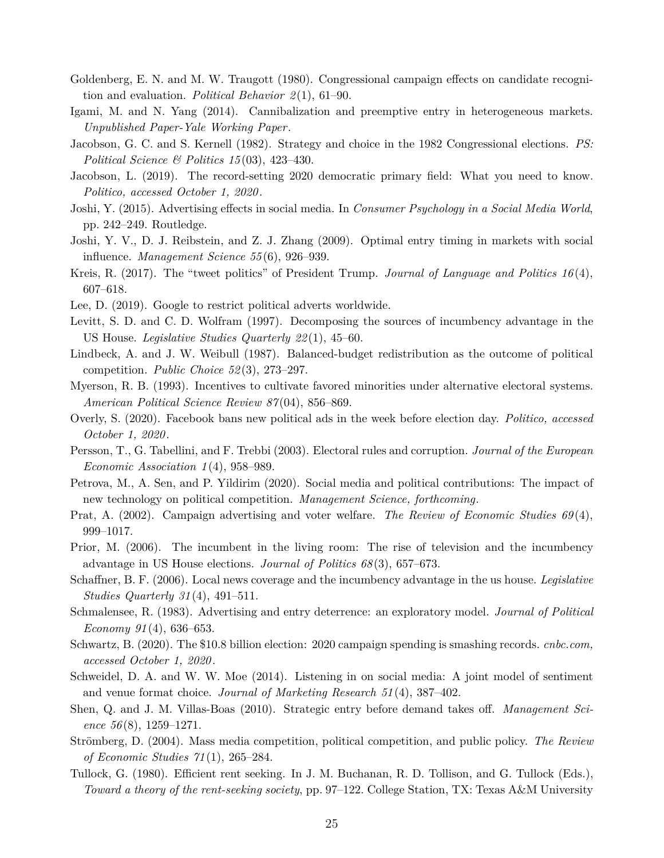- <span id="page-24-4"></span>Goldenberg, E. N. and M. W. Traugott (1980). Congressional campaign effects on candidate recognition and evaluation. *Political Behavior 2*(1), 61–90.
- <span id="page-24-13"></span>Igami, M. and N. Yang (2014). Cannibalization and preemptive entry in heterogeneous markets. *Unpublished Paper-Yale Working Paper*.
- <span id="page-24-3"></span>Jacobson, G. C. and S. Kernell (1982). Strategy and choice in the 1982 Congressional elections. *PS: Political Science & Politics 15*(03), 423–430.
- <span id="page-24-8"></span>Jacobson, L. (2019). The record-setting 2020 democratic primary field: What you need to know. *Politico, accessed October 1, 2020*.
- <span id="page-24-17"></span>Joshi, Y. (2015). Advertising effects in social media. In *Consumer Psychology in a Social Media World*, pp. 242–249. Routledge.
- <span id="page-24-14"></span>Joshi, Y. V., D. J. Reibstein, and Z. J. Zhang (2009). Optimal entry timing in markets with social influence. *Management Science 55*(6), 926–939.
- <span id="page-24-0"></span>Kreis, R. (2017). The "tweet politics" of President Trump. *Journal of Language and Politics 16*(4), 607–618.
- <span id="page-24-11"></span>Lee, D. (2019). Google to restrict political adverts worldwide.
- <span id="page-24-2"></span>Levitt, S. D. and C. D. Wolfram (1997). Decomposing the sources of incumbency advantage in the US House. *Legislative Studies Quarterly 22*(1), 45–60.
- <span id="page-24-21"></span>Lindbeck, A. and J. W. Weibull (1987). Balanced-budget redistribution as the outcome of political competition. *Public Choice 52*(3), 273–297.
- <span id="page-24-6"></span>Myerson, R. B. (1993). Incentives to cultivate favored minorities under alternative electoral systems. *American Political Science Review 87*(04), 856–869.
- <span id="page-24-10"></span>Overly, S. (2020). Facebook bans new political ads in the week before election day. *Politico, accessed October 1, 2020*.
- <span id="page-24-7"></span>Persson, T., G. Tabellini, and F. Trebbi (2003). Electoral rules and corruption. *Journal of the European Economic Association 1*(4), 958–989.
- <span id="page-24-1"></span>Petrova, M., A. Sen, and P. Yildirim (2020). Social media and political contributions: The impact of new technology on political competition. *Management Science, forthcoming*.
- <span id="page-24-18"></span>Prat, A. (2002). Campaign advertising and voter welfare. *The Review of Economic Studies 69*(4), 999–1017.
- <span id="page-24-20"></span>Prior, M. (2006). The incumbent in the living room: The rise of television and the incumbency advantage in US House elections. *Journal of Politics 68*(3), 657–673.
- <span id="page-24-5"></span>Schaffner, B. F. (2006). Local news coverage and the incumbency advantage in the us house. *Legislative Studies Quarterly 31*(4), 491–511.
- <span id="page-24-15"></span>Schmalensee, R. (1983). Advertising and entry deterrence: an exploratory model. *Journal of Political Economy 91*(4), 636–653.
- <span id="page-24-9"></span>Schwartz, B. (2020). The \$10.8 billion election: 2020 campaign spending is smashing records. *cnbc.com, accessed October 1, 2020*.
- <span id="page-24-16"></span>Schweidel, D. A. and W. W. Moe (2014). Listening in on social media: A joint model of sentiment and venue format choice. *Journal of Marketing Research 51*(4), 387–402.
- <span id="page-24-12"></span>Shen, Q. and J. M. Villas-Boas (2010). Strategic entry before demand takes off. *Management Science 56*(8), 1259–1271.
- <span id="page-24-19"></span>Strömberg, D. (2004). Mass media competition, political competition, and public policy. *The Review of Economic Studies 71*(1), 265–284.
- <span id="page-24-22"></span>Tullock, G. (1980). Efficient rent seeking. In J. M. Buchanan, R. D. Tollison, and G. Tullock (Eds.), *Toward a theory of the rent-seeking society*, pp. 97–122. College Station, TX: Texas A&M University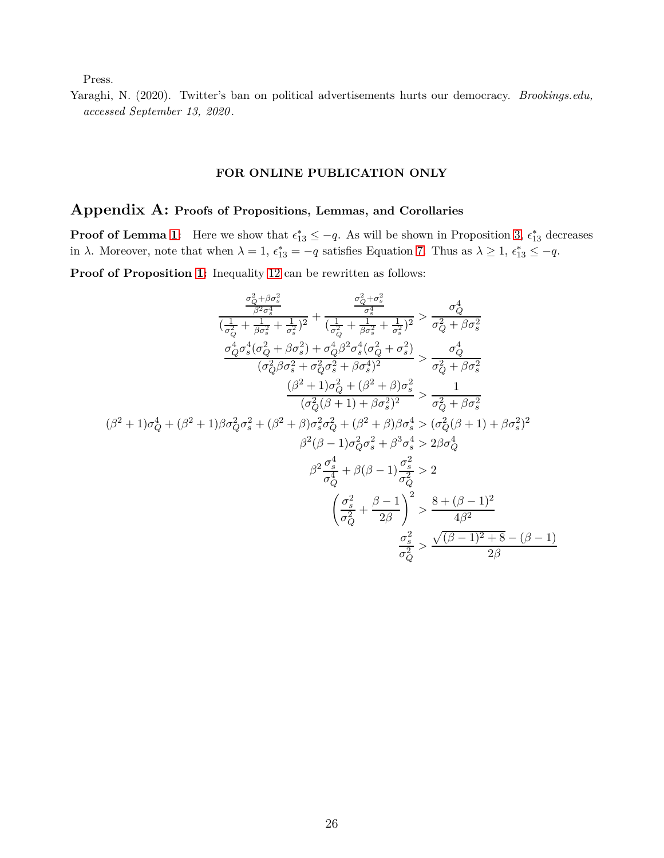Press.

<span id="page-25-0"></span>Yaraghi, N. (2020). Twitter's ban on political advertisements hurts our democracy. *Brookings.edu, accessed September 13, 2020*.

#### **FOR ONLINE PUBLICATION ONLY**

# **Appendix A: Proofs of Propositions, Lemmas, and Corollaries**

**Proof of Lemma [1:](#page-11-0)** Here we show that  $\epsilon_{13}^* \leq -q$ . As will be shown in Proposition [3,](#page-18-0)  $\epsilon_{13}^*$  decreases in *λ*. Moreover, note that when  $\lambda = 1$ ,  $\epsilon_{13}^* = -q$  satisfies Equation [7.](#page-12-0) Thus as  $\lambda \geq 1$ ,  $\epsilon_{13}^* \leq -q$ .

**Proof of Proposition [1:](#page-15-0)** Inequality [12](#page-15-1) can be rewritten as follows:

$$
\frac{\frac{\sigma_{Q}^{2}+\beta\sigma_{s}^{2}}{(\frac{1}{\sigma_{Q}^{2}}+\frac{1}{\sigma_{s}^{2}}+\frac{1}{\sigma_{s}^{2}})^{2}}+\frac{\frac{\sigma_{Q}^{2}+\sigma_{s}^{2}}{(\sigma_{s}^{2}}+\frac{1}{\sigma_{s}^{2}}+\frac{1}{\sigma_{s}^{2}})^{2}}{(\frac{1}{\sigma_{Q}^{2}}+\frac{1}{\beta\sigma_{s}^{2}}+\frac{1}{\sigma_{s}^{2}})^{2}}>\frac{\sigma_{Q}^{4}}{\sigma_{Q}^{2}+\beta\sigma_{s}^{2}}\frac{\sigma_{Q}^{4}\sigma_{s}^{4}(\sigma_{Q}^{2}+\beta\sigma_{s}^{2})+\sigma_{Q}^{4}\beta^{2}\sigma_{s}^{4}(\sigma_{Q}^{2}+\sigma_{s}^{2})}{(\sigma_{Q}^{2}\beta\sigma_{s}^{2}+\sigma_{Q}^{2}\sigma_{s}^{2}+\beta\sigma_{s}^{4})^{2}}>\frac{\sigma_{Q}^{4}}{\sigma_{Q}^{2}+\beta\sigma_{s}^{2}}\frac{(\beta^{2}+1)\sigma_{Q}^{2}+(\beta^{2}+\beta)\sigma_{s}^{2}}{(\sigma_{Q}^{2}(\beta+1)+\beta\sigma_{s}^{2})^{2}}>\frac{1}{\sigma_{Q}^{2}+\beta\sigma_{s}^{2}}(\beta^{2}+1)\sigma_{Q}^{4}+(\beta^{2}+1)\beta\sigma_{Q}^{2}\sigma_{s}^{2}+(\beta^{2}+\beta)\sigma_{s}^{2}\sigma_{s}^{2}+(\beta^{2}+\beta)\beta\sigma_{s}^{4}>(\sigma_{Q}^{2}(\beta+1)+\beta\sigma_{s}^{2})^{2}\beta^{2}(\beta-1)\sigma_{Q}^{2}\sigma_{s}^{2}+\beta^{3}\sigma_{s}^{4}>2\beta\sigma_{Q}^{4}\beta^{2}\frac{\sigma_{s}^{4}}{\sigma_{Q}^{4}}+\beta(\beta-1)\frac{\sigma_{s}^{2}}{\sigma_{Q}^{2}}>2\frac{\sigma_{s}^{2}}{\sigma_{Q}^{2}}>\frac{\sigma_{s}^{2}+(\beta-1)^{2}}{\sigma_{Q}^{2}}\frac{\sigma_{s}^{2}}{\sigma_{Q}^{2}}> \frac{\sqrt{(\beta-1)^{2}+8}-(\beta-1)}{2\beta}
$$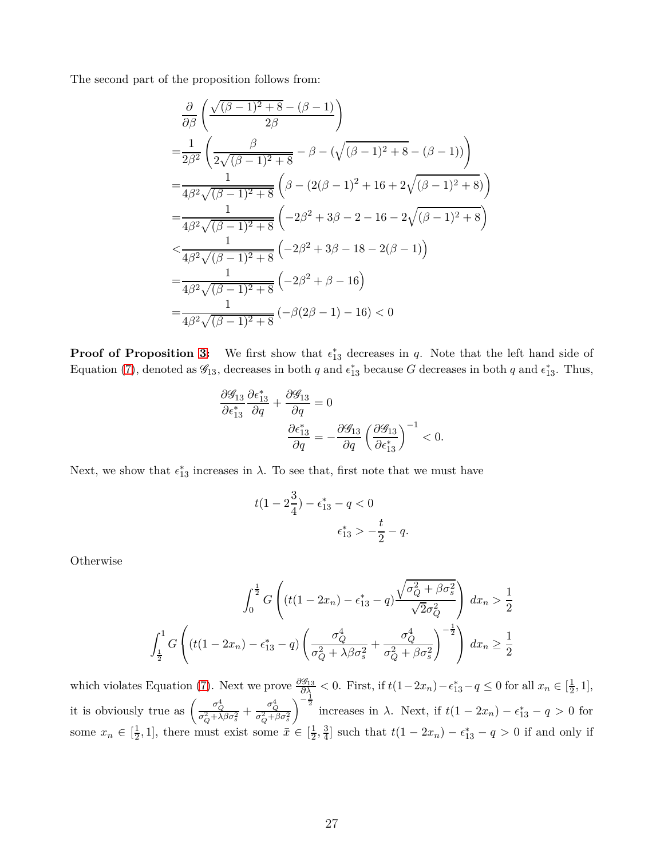The second part of the proposition follows from:

$$
\frac{\partial}{\partial \beta} \left( \frac{\sqrt{(\beta - 1)^2 + 8} - (\beta - 1)}{2\beta} \right)
$$
\n
$$
= \frac{1}{2\beta^2} \left( \frac{\beta}{2\sqrt{(\beta - 1)^2 + 8}} - \beta - (\sqrt{(\beta - 1)^2 + 8} - (\beta - 1)) \right)
$$
\n
$$
= \frac{1}{4\beta^2 \sqrt{(\beta - 1)^2 + 8}} \left( \beta - (2(\beta - 1)^2 + 16 + 2\sqrt{(\beta - 1)^2 + 8}) \right)
$$
\n
$$
= \frac{1}{4\beta^2 \sqrt{(\beta - 1)^2 + 8}} \left( -2\beta^2 + 3\beta - 2 - 16 - 2\sqrt{(\beta - 1)^2 + 8} \right)
$$
\n
$$
< \frac{1}{4\beta^2 \sqrt{(\beta - 1)^2 + 8}} \left( -2\beta^2 + 3\beta - 18 - 2(\beta - 1) \right)
$$
\n
$$
= \frac{1}{4\beta^2 \sqrt{(\beta - 1)^2 + 8}} \left( -2\beta^2 + \beta - 16 \right)
$$
\n
$$
= \frac{1}{4\beta^2 \sqrt{(\beta - 1)^2 + 8}} \left( -\beta(2\beta - 1) - 16 \right) < 0
$$

**Proof of Proposition [3:](#page-18-0)** We first show that  $\epsilon_{13}^*$  decreases in *q*. Note that the left hand side of Equation [\(7\)](#page-12-0), denoted as  $\mathscr{G}_{13}$ , decreases in both *q* and  $\epsilon_{13}^*$  because *G* decreases in both *q* and  $\epsilon_{13}^*$ . Thus,

$$
\frac{\partial \mathcal{G}_{13}}{\partial \epsilon_{13}^*} \frac{\partial \epsilon_{13}^*}{\partial q} + \frac{\partial \mathcal{G}_{13}}{\partial q} = 0
$$

$$
\frac{\partial \epsilon_{13}^*}{\partial q} = -\frac{\partial \mathcal{G}_{13}}{\partial q} \left(\frac{\partial \mathcal{G}_{13}}{\partial \epsilon_{13}^*}\right)^{-1} < 0.
$$

Next, we show that  $\epsilon_{13}^*$  increases in  $\lambda$ . To see that, first note that we must have

$$
t(1 - 2\frac{3}{4}) - \epsilon_{13}^* - q < 0
$$
\n
$$
\epsilon_{13}^* > -\frac{t}{2} - q.
$$

Otherwise

$$
\int_0^{\frac{1}{2}} G\left( (t(1 - 2x_n) - \epsilon_{13}^* - q) \frac{\sqrt{\sigma_Q^2 + \beta \sigma_s^2}}{\sqrt{2\sigma_Q^2}} \right) dx_n > \frac{1}{2}
$$

$$
\int_{\frac{1}{2}}^1 G\left( (t(1 - 2x_n) - \epsilon_{13}^* - q) \left( \frac{\sigma_Q^4}{\sigma_Q^2 + \lambda \beta \sigma_s^2} + \frac{\sigma_Q^4}{\sigma_Q^2 + \beta \sigma_s^2} \right)^{-\frac{1}{2}} \right) dx_n \ge \frac{1}{2}
$$

which violates Equation [\(7\)](#page-12-0). Next we prove  $\frac{\partial \mathscr{G}_{13}}{\partial \lambda} < 0$ . First, if  $t(1-2x_n) - \epsilon_{13}^* - q \leq 0$  for all  $x_n \in [\frac{1}{2}]$  $\frac{1}{2}, 1],$ it is obviously true as  $\left(\frac{\sigma_Q^4}{\sigma_Q^2 + \lambda \beta \sigma_s^2} + \frac{\sigma_Q^4}{\sigma_Q^2 + \beta \sigma_s^2}\right)$  $\int_{0}^{\frac{\pi}{2}} \text{increases} \text{ in } \lambda. \text{ Next, if } t(1 - 2x_n) - \epsilon_{13}^* - q > 0 \text{ for }$ some  $x_n \in \left[\frac{1}{2}\right]$  $\frac{1}{2}$ , 1], there must exist some  $\bar{x} \in \left[\frac{1}{2}\right]$  $\frac{1}{2}, \frac{3}{4}$  $\frac{3}{4}$  such that  $t(1 - 2x_n) - \epsilon_{13}^* - q > 0$  if and only if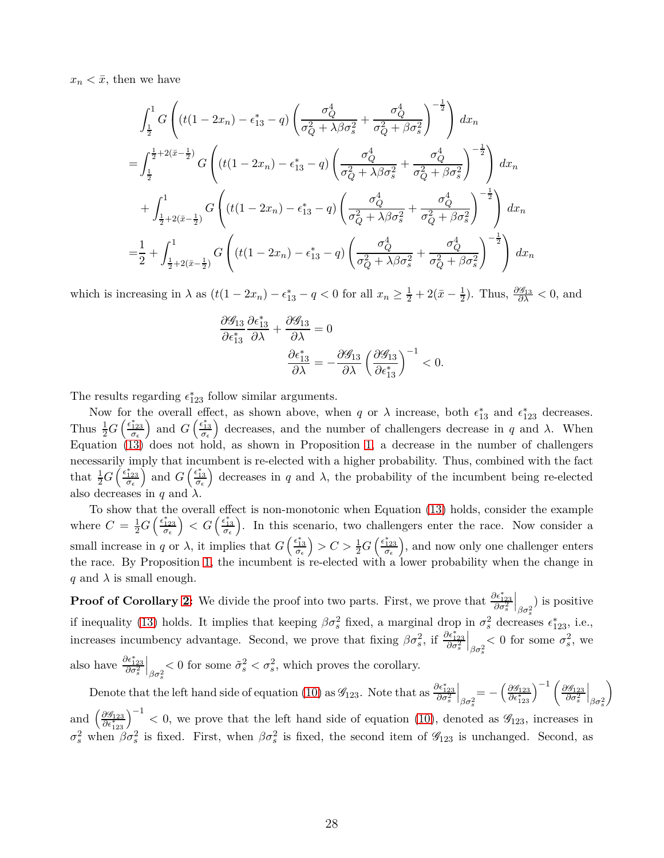$x_n < \bar{x}$ , then we have

$$
\int_{\frac{1}{2}}^{1} G\left( (t(1-2x_n) - \epsilon_{13}^* - q) \left( \frac{\sigma_Q^4}{\sigma_Q^2 + \lambda \beta \sigma_s^2} + \frac{\sigma_Q^4}{\sigma_Q^2 + \beta \sigma_s^2} \right)^{-\frac{1}{2}} \right) dx_n
$$
  
\n
$$
= \int_{\frac{1}{2}}^{\frac{1}{2} + 2(\bar{x} - \frac{1}{2})} G\left( (t(1-2x_n) - \epsilon_{13}^* - q) \left( \frac{\sigma_Q^4}{\sigma_Q^2 + \lambda \beta \sigma_s^2} + \frac{\sigma_Q^4}{\sigma_Q^2 + \beta \sigma_s^2} \right)^{-\frac{1}{2}} \right) dx_n
$$
  
\n
$$
+ \int_{\frac{1}{2} + 2(\bar{x} - \frac{1}{2})}^{1} G\left( (t(1-2x_n) - \epsilon_{13}^* - q) \left( \frac{\sigma_Q^4}{\sigma_Q^2 + \lambda \beta \sigma_s^2} + \frac{\sigma_Q^4}{\sigma_Q^2 + \beta \sigma_s^2} \right)^{-\frac{1}{2}} \right) dx_n
$$
  
\n
$$
= \frac{1}{2} + \int_{\frac{1}{2} + 2(\bar{x} - \frac{1}{2})}^{1} G\left( (t(1-2x_n) - \epsilon_{13}^* - q) \left( \frac{\sigma_Q^4}{\sigma_Q^2 + \lambda \beta \sigma_s^2} + \frac{\sigma_Q^4}{\sigma_Q^2 + \beta \sigma_s^2} \right)^{-\frac{1}{2}} \right) dx_n
$$

which is increasing in  $\lambda$  as  $(t(1 - 2x_n) - \epsilon_{13}^* - q < 0$  for all  $x_n \geq \frac{1}{2} + 2(\bar{x} - \frac{1}{2})$  $\frac{1}{2}$ ). Thus,  $\frac{\partial \mathscr{G}_{13}}{\partial \lambda} < 0$ , and

$$
\frac{\partial \mathcal{G}_{13}}{\partial \epsilon_{13}^*} \frac{\partial \epsilon_{13}^*}{\partial \lambda} + \frac{\partial \mathcal{G}_{13}}{\partial \lambda} = 0
$$

$$
\frac{\partial \epsilon_{13}^*}{\partial \lambda} = -\frac{\partial \mathcal{G}_{13}}{\partial \lambda} \left(\frac{\partial \mathcal{G}_{13}}{\partial \epsilon_{13}^*}\right)^{-1} < 0.
$$

The results regarding  $\epsilon_{123}^*$  follow similar arguments.

Now for the overall effect, as shown above, when *q* or  $\lambda$  increase, both  $\epsilon_{13}^*$  and  $\epsilon_{123}^*$  decreases. Thus  $\frac{1}{2}G\left(\frac{\epsilon_{123}^*}{\sigma_{\epsilon}}\right)$  and  $G\left(\frac{\epsilon_{13}^*}{\sigma_{\epsilon}}\right)$  decreases, and the number of challengers decrease in *q* and *λ*. When Equation  $(13)$  does not hold, as shown in Proposition [1,](#page-15-0) a decrease in the number of challengers necessarily imply that incumbent is re-elected with a higher probability. Thus, combined with the fact that  $\frac{1}{2}G\left(\frac{\epsilon_{123}^*}{\sigma_{\epsilon}}\right)$  and  $G\left(\frac{\epsilon_{13}^*}{\sigma_{\epsilon}}\right)$  decreases in *q* and  $\lambda$ , the probability of the incumbent being re-elected also decreases in *q* and *λ*.

To show that the overall effect is non-monotonic when Equation [\(13\)](#page-15-0) holds, consider the example where  $C = \frac{1}{2}G\left(\frac{\epsilon_{123}^*}{\sigma_{\epsilon}}\right) < G\left(\frac{\epsilon_{13}^*}{\sigma_{\epsilon}}\right)$ . In this scenario, two challengers enter the race. Now consider a small increase in *q* or  $\lambda$ , it implies that  $G\left(\frac{\epsilon_{13}^*}{\sigma_{\epsilon}}\right) > C > \frac{1}{2}G\left(\frac{\epsilon_{123}^*}{\sigma_{\epsilon}}\right)$ , and now only one challenger enters the race. By Proposition [1,](#page-15-0) the incumbent is re-elected with a lower probability when the change in *q* and  $\lambda$  is small enough.

**Proof of Corollary [2:](#page-20-0)** We divide the proof into two parts. First, we prove that  $\frac{\partial \epsilon_{123}^*}{\partial \sigma_s^2}$  $\Big|_{\beta\sigma_s^2}$  is positive if inequality [\(13\)](#page-15-0) holds. It implies that keeping  $\beta \sigma_s^2$  fixed, a marginal drop in  $\sigma_s^2$  decreases  $\epsilon_{123}^*$ , i.e., increases incumbency advantage. Second, we prove that fixing  $\beta \sigma_s^2$ , if  $\frac{\partial \epsilon_{123}^*}{\partial \sigma_s^2}$  $\big|_{\beta\sigma_s^2}$  $<$  0 for some  $\sigma_s^2$ , we

also have  $\frac{\partial \epsilon_{123}^*}{\partial \sigma_s^2}$  $\left| \begin{array}{c} \frac{\partial}{\partial \sigma_s^2} < 0 \text{ for some } \tilde{\sigma}_s^2 < \sigma_s^2 \text{, which proves the corollary.} \end{array} \right.$ 

Denote that the left hand side of equation [\(10\)](#page-14-1) as  $\mathscr{G}_{123}$ . Note that as  $\frac{\partial \epsilon_{123}^*}{\partial \sigma_s^2}$  $\Big|_{\beta\sigma_s^2} = -\left(\frac{\partial\mathscr{G}_{123}}{\partial\epsilon_{123}^*}\right.$  $\big)^{-1}$  *(*∂G<sub>123</sub> *∂σ*<sup>2</sup> *s*  $\big|_{\beta\sigma_s^2}$  $\setminus$ and  $\left(\frac{\partial \mathscr{G}_{123}}{\partial \epsilon^*_{123}}\right)$  $\int_{0}^{-1}$  < 0, we prove that the left hand side of equation [\(10\)](#page-14-1), denoted as  $\mathscr{G}_{123}$ , increases in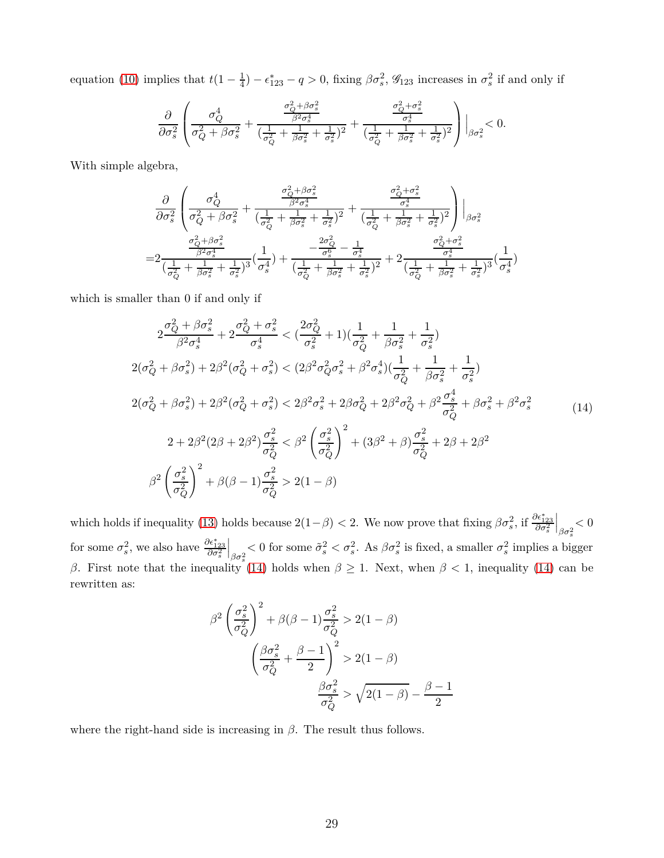equation [\(10\)](#page-14-1) implies that  $t(1-\frac{1}{4})$  $\frac{1}{4}$ ) –  $\epsilon_{123}^*$  – *q* > 0, fixing  $\beta \sigma_s^2$ ,  $\mathcal{G}_{123}$  increases in  $\sigma_s^2$  if and only if

$$
\frac{\partial}{\partial \sigma_s^2} \left( \frac{\sigma_Q^4}{\sigma_Q^2 + \beta \sigma_s^2} + \frac{\frac{\sigma_Q^2 + \beta \sigma_s^2}{\beta^2 \sigma_s^4}}{(\frac{1}{\sigma_Q^2} + \frac{1}{\beta \sigma_s^2} + \frac{1}{\sigma_s^2})^2} + \frac{\frac{\sigma_Q^2 + \sigma_s^2}{\sigma_s^4}}{(\frac{1}{\sigma_Q^2} + \frac{1}{\beta \sigma_s^2} + \frac{1}{\sigma_s^2})^2} \right) \Big|_{\beta \sigma_s^2} < 0.
$$

With simple algebra,

$$
\frac{\partial}{\partial \sigma_s^2} \left( \frac{\sigma_Q^4}{\sigma_Q^2 + \beta \sigma_s^2} + \frac{\frac{\sigma_Q^2 + \beta \sigma_s^2}{\beta^2 \sigma_s^4}}{(\frac{1}{\sigma_Q^2} + \frac{1}{\beta \sigma_s^2} + \frac{1}{\sigma_s^2})^2} + \frac{\frac{\sigma_Q^2 + \sigma_s^2}{\sigma_s^4}}{(\frac{1}{\sigma_Q^2} + \frac{1}{\beta \sigma_s^2} + \frac{1}{\sigma_s^2})^2} \right) \Big|_{\beta \sigma_s^2}
$$
\n
$$
= 2 \frac{\frac{\sigma_Q^2 + \beta \sigma_s^2}{\beta^2 \sigma_s^4}}{(\frac{1}{\sigma_Q^2} + \frac{1}{\beta \sigma_s^2} + \frac{1}{\sigma_s^2})^3} (\frac{1}{\sigma_s^4}) + \frac{\frac{2\sigma_Q^2}{\sigma_S^6} - \frac{1}{\sigma_s^4}}{(\frac{1}{\sigma_Q^2} + \frac{1}{\beta \sigma_s^2} + \frac{1}{\sigma_s^2})^2} + 2 \frac{\frac{\sigma_Q^2 + \sigma_s^2}{\sigma_s^4}}{(\frac{1}{\sigma_Q^2} + \frac{1}{\beta \sigma_s^2} + \frac{1}{\sigma_s^2})^3} (\frac{1}{\sigma_s^4})
$$

which is smaller than 0 if and only if

<span id="page-28-0"></span>
$$
2\frac{\sigma_Q^2 + \beta \sigma_s^2}{\beta^2 \sigma_s^4} + 2\frac{\sigma_Q^2 + \sigma_s^2}{\sigma_s^4} < \left(\frac{2\sigma_Q^2}{\sigma_s^2} + 1\right)\left(\frac{1}{\sigma_Q^2} + \frac{1}{\beta \sigma_s^2} + \frac{1}{\sigma_s^2}\right)
$$
\n
$$
2(\sigma_Q^2 + \beta \sigma_s^2) + 2\beta^2(\sigma_Q^2 + \sigma_s^2) < (2\beta^2 \sigma_Q^2 \sigma_s^2 + \beta^2 \sigma_s^4)\left(\frac{1}{\sigma_Q^2} + \frac{1}{\beta \sigma_s^2} + \frac{1}{\sigma_s^2}\right)
$$
\n
$$
2(\sigma_Q^2 + \beta \sigma_s^2) + 2\beta^2(\sigma_Q^2 + \sigma_s^2) < 2\beta^2 \sigma_s^2 + 2\beta \sigma_Q^2 + 2\beta^2 \sigma_Q^2 + \beta^2 \frac{\sigma_s^4}{\sigma_Q^2} + \beta \sigma_s^2 + \beta^2 \sigma_s^2
$$
\n
$$
2 + 2\beta^2(2\beta + 2\beta^2) \frac{\sigma_s^2}{\sigma_Q^2} < \beta^2 \left(\frac{\sigma_s^2}{\sigma_Q^2}\right)^2 + (3\beta^2 + \beta) \frac{\sigma_s^2}{\sigma_Q^2} + 2\beta + 2\beta^2
$$
\n
$$
\beta^2 \left(\frac{\sigma_s^2}{\sigma_Q^2}\right)^2 + \beta(\beta - 1) \frac{\sigma_s^2}{\sigma_Q^2} > 2(1 - \beta)
$$
\n(14)

which holds if inequality [\(13\)](#page-15-0) holds because  $2(1-\beta) < 2$ . We now prove that fixing  $\beta \sigma_s^2$ , if  $\frac{\partial \epsilon_{123}^*}{\partial \sigma_s^2}$  $\left.\vphantom{\raisebox{-0.5cm}{.}}\right|_{\beta\sigma_s^2}$ *<* 0 for some  $\sigma_s^2$ , we also have  $\frac{\partial \epsilon_{123}^*}{\partial \sigma_s^2}$  $\big|_{\beta\sigma_s^2}$  $<$  0 for some  $\tilde{\sigma}_s^2 < \sigma_s^2$ . As  $\beta \sigma_s^2$  is fixed, a smaller  $\sigma_s^2$  implies a bigger *β*. First note that the inequality [\(14\)](#page-28-0) holds when  $\beta \geq 1$ . Next, when  $\beta < 1$ , inequality (14) can be rewritten as:

$$
\beta^2 \left(\frac{\sigma_s^2}{\sigma_Q^2}\right)^2 + \beta(\beta - 1)\frac{\sigma_s^2}{\sigma_Q^2} > 2(1 - \beta)
$$

$$
\left(\frac{\beta \sigma_s^2}{\sigma_Q^2} + \frac{\beta - 1}{2}\right)^2 > 2(1 - \beta)
$$

$$
\frac{\beta \sigma_s^2}{\sigma_Q^2} > \sqrt{2(1 - \beta)} - \frac{\beta - 1}{2}
$$

where the right-hand side is increasing in *β*. The result thus follows.